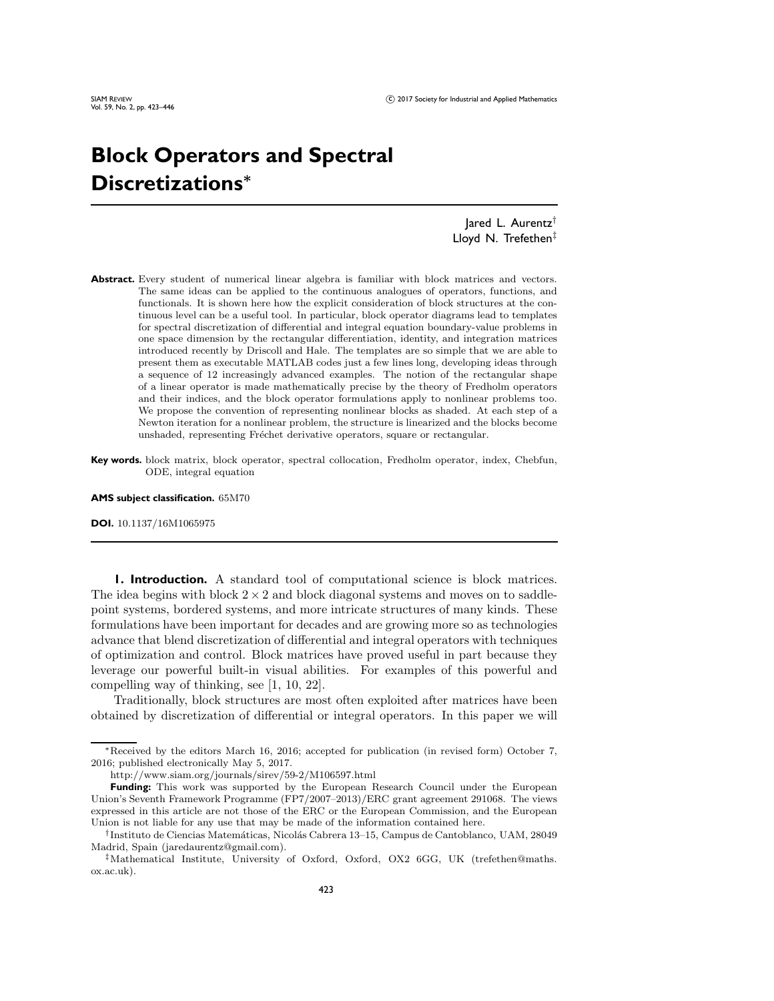## **Block Operators and Spectral Discretizations***<sup>∗</sup>*

Jared L. Aurentz† Lloyd N. Trefethen<sup>‡</sup>

Abstract. Every student of numerical linear algebra is familiar with block matrices and vectors. The same ideas can be applied to the continuous analogues of operators, functions, and functionals. It is shown here how the explicit consideration of block structures at the continuous level can be a useful tool. In particular, block operator diagrams lead to templates for spectral discretization of differential and integral equation boundary-value problems in one space dimension by the rectangular differentiation, identity, and integration matrices introduced recently by Driscoll and Hale. The templates are so simple that we are able to present them as executable MATLAB codes just a few lines long, developing ideas through a sequence of 12 increasingly advanced examples. The notion of the rectangular shape of a linear operator is made mathematically precise by the theory of Fredholm operators and their indices, and the block operator formulations apply to nonlinear problems too. We propose the convention of representing nonlinear blocks as shaded. At each step of a Newton iteration for a nonlinear problem, the structure is linearized and the blocks become unshaded, representing Fréchet derivative operators, square or rectangular.

**Key words.** block matrix, block operator, spectral collocation, Fredholm operator, index, Chebfun, ODE, integral equation

**AMS subject classification.** 65M70

**DOI.** 10.1137/16M1065975

**1. Introduction.** A standard tool of computational science is block matrices. The idea begins with block  $2 \times 2$  and block diagonal systems and moves on to saddlepoint systems, bordered systems, and more intricate structures of many kinds. These formulations have been important for decades and are growing more so as technologies advance that blend discretization of differential and integral operators with techniques of optimization and control. Block matrices have proved useful in part because they leverage our powerful built-in visual abilities. For examples of this powerful and compelling way of thinking, see [\[1,](#page-22-0) [10,](#page-22-1) [22\]](#page-23-0).

Traditionally, block structures are most often exploited after matrices have been obtained by discretization of differential or integral operators. In this paper we will

<sup>∗</sup>Received by the editors March 16, 2016; accepted for publication (in revised form) October 7, 2016; published electronically May 5, 2017.

<http://www.siam.org/journals/sirev/59-2/M106597.html>

**Funding:** This work was supported by the European Research Council under the European Union's Seventh Framework Programme (FP7/2007–2013)/ERC grant agreement 291068. The views expressed in this article are not those of the ERC or the European Commission, and the European Union is not liable for any use that may be made of the information contained here.

<sup>†</sup>Instituto de Ciencias Matem´aticas, Nicol´as Cabrera 13–15, Campus de Cantoblanco, UAM, 28049 Madrid, Spain [\(jaredaurentz@gmail.com\)](mailto:jaredaurentz@gmail.com).

<sup>‡</sup>[Mathematical Institute, University of Oxford, Oxford, OX2 6GG, UK \(trefethen@maths.](mailto:trefethen@maths.ox.ac.uk) ox.ac.uk).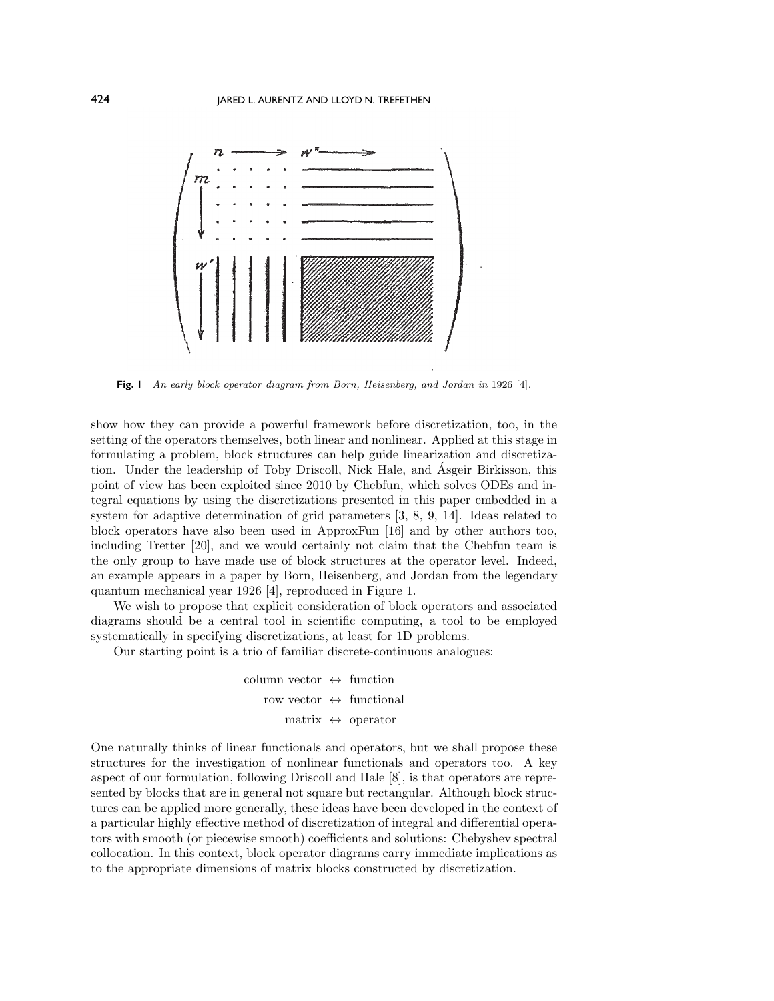<span id="page-1-0"></span>

**Fig. 1** An early block operator diagram from Born, Heisenberg, and Jordan in 1926 [\[4\]](#page-22-2).

show how they can provide a powerful framework before discretization, too, in the setting of the operators themselves, both linear and nonlinear. Applied at this stage in formulating a problem, block structures can help guide linearization and discretization. Under the leadership of Toby Driscoll, Nick Hale, and Asgeir Birkisson, this ´ point of view has been exploited since 2010 by Chebfun, which solves ODEs and integral equations by using the discretizations presented in this paper embedded in a system for adaptive determination of grid parameters [\[3,](#page-22-3) [8,](#page-22-4) [9,](#page-22-5) [14\]](#page-23-1). Ideas related to block operators have also been used in ApproxFun [\[16\]](#page-23-2) and by other authors too, including Tretter [\[20\]](#page-23-3), and we would certainly not claim that the Chebfun team is the only group to have made use of block structures at the operator level. Indeed, an example appears in a paper by Born, Heisenberg, and Jordan from the legendary quantum mechanical year 1926 [\[4\]](#page-22-2), reproduced in Figure [1.](#page-1-0)

We wish to propose that explicit consideration of block operators and associated diagrams should be a central tool in scientific computing, a tool to be employed systematically in specifying discretizations, at least for 1D problems.

Our starting point is a trio of familiar discrete-continuous analogues:

column vector  $\leftrightarrow$  function row vector  $\leftrightarrow$  functional matrix  $\leftrightarrow$  operator

One naturally thinks of linear functionals and operators, but we shall propose these structures for the investigation of nonlinear functionals and operators too. A key aspect of our formulation, following Driscoll and Hale [\[8\]](#page-22-4), is that operators are represented by blocks that are in general not square but rectangular. Although block structures can be applied more generally, these ideas have been developed in the context of a particular highly effective method of discretization of integral and differential operators with smooth (or piecewise smooth) coefficients and solutions: Chebyshev spectral collocation. In this context, block operator diagrams carry immediate implications as to the appropriate dimensions of matrix blocks constructed by discretization.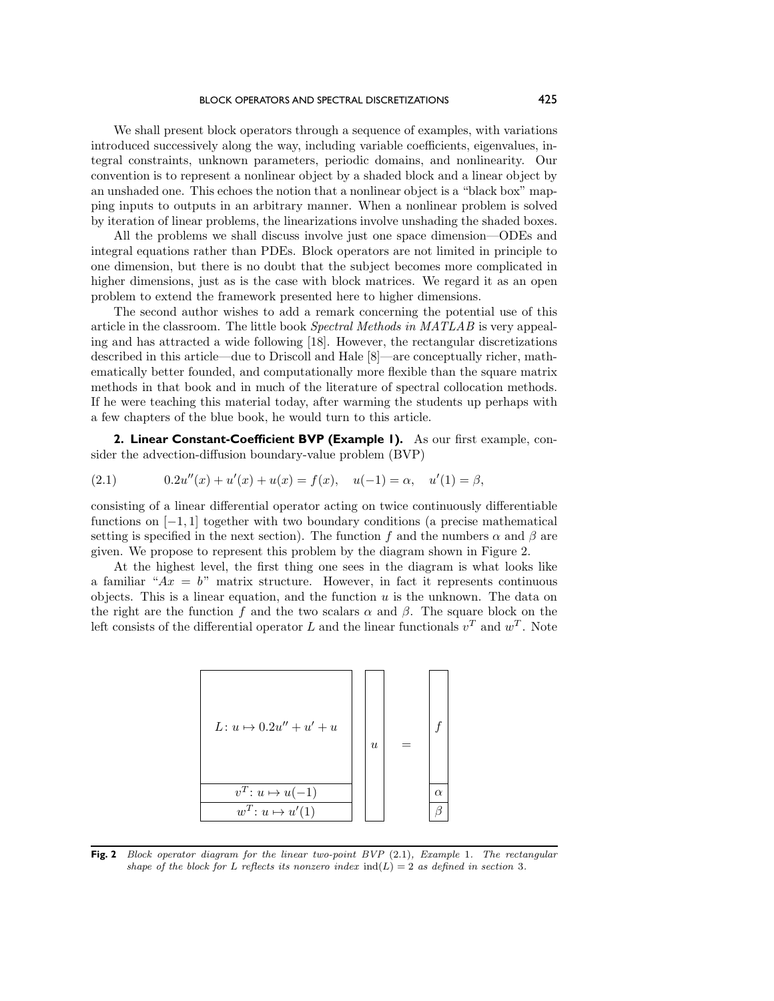We shall present block operators through a sequence of examples, with variations introduced successively along the way, including variable coefficients, eigenvalues, integral constraints, unknown parameters, periodic domains, and nonlinearity. Our convention is to represent a nonlinear object by a shaded block and a linear object by an unshaded one. This echoes the notion that a nonlinear object is a "black box" mapping inputs to outputs in an arbitrary manner. When a nonlinear problem is solved by iteration of linear problems, the linearizations involve unshading the shaded boxes.

All the problems we shall discuss involve just one space dimension—ODEs and integral equations rather than PDEs. Block operators are not limited in principle to one dimension, but there is no doubt that the subject becomes more complicated in higher dimensions, just as is the case with block matrices. We regard it as an open problem to extend the framework presented here to higher dimensions.

The second author wishes to add a remark concerning the potential use of this article in the classroom. The little book *Spectral Methods in MATLAB* is very appealing and has attracted a wide following [\[18\]](#page-23-4). However, the rectangular discretizations described in this article—due to Driscoll and Hale [\[8\]](#page-22-4)—are conceptually richer, mathematically better founded, and computationally more flexible than the square matrix methods in that book and in much of the literature of spectral collocation methods. If he were teaching this material today, after warming the students up perhaps with a few chapters of the blue book, he would turn to this article.

**2. Linear Constant-Coefficient BVP (Example 1).** As our first example, consider the advection-diffusion boundary-value problem (BVP)

<span id="page-2-1"></span>(2.1) 
$$
0.2u''(x) + u'(x) + u(x) = f(x), \quad u(-1) = \alpha, \quad u'(1) = \beta,
$$

consisting of a linear differential operator acting on twice continuously differentiable functions on  $[-1, 1]$  together with two boundary conditions (a precise mathematical setting is specified in the next section). The function f and the numbers  $\alpha$  and  $\beta$  are given. We propose to represent this problem by the diagram shown in Figure [2.](#page-2-0)

<span id="page-2-0"></span>At the highest level, the first thing one sees in the diagram is what looks like a familiar " $Ax = b$ " matrix structure. However, in fact it represents continuous objects. This is a linear equation, and the function  $u$  is the unknown. The data on the right are the function f and the two scalars  $\alpha$  and  $\beta$ . The square block on the left consists of the differential operator L and the linear functionals  $v<sup>T</sup>$  and  $w<sup>T</sup>$ . Note



**Fig. 2** Block operator diagram for the linear two-point BVP [\(2](#page-2-1).1), Example 1. The rectangular shape of the block for L reflects its nonzero index  $ind(L)=2$  as defined in section [3](#page-5-0).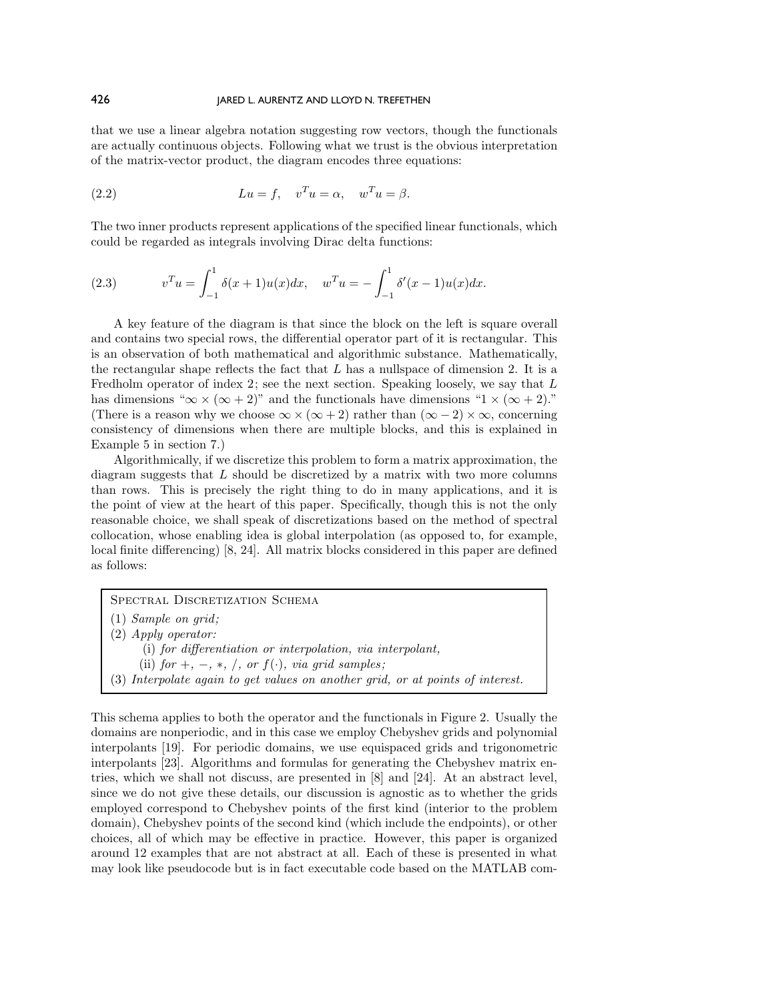that we use a linear algebra notation suggesting row vectors, though the functionals are actually continuous objects. Following what we trust is the obvious interpretation of the matrix-vector product, the diagram encodes three equations:

(2.2) 
$$
Lu = f, \quad v^T u = \alpha, \quad w^T u = \beta.
$$

The two inner products represent applications of the specified linear functionals, which could be regarded as integrals involving Dirac delta functions:

(2.3) 
$$
v^{T}u = \int_{-1}^{1} \delta(x+1)u(x)dx, \quad w^{T}u = -\int_{-1}^{1} \delta'(x-1)u(x)dx.
$$

A key feature of the diagram is that since the block on the left is square overall and contains two special rows, the differential operator part of it is rectangular. This is an observation of both mathematical and algorithmic substance. Mathematically, the rectangular shape reflects the fact that  $L$  has a nullspace of dimension 2. It is a Fredholm operator of index 2; see the next section. Speaking loosely, we say that L has dimensions " $\infty \times (\infty + 2)$ " and the functionals have dimensions "1 × ( $\infty + 2$ )." (There is a reason why we choose  $\infty \times (\infty + 2)$  rather than  $(\infty - 2) \times \infty$ , concerning consistency of dimensions when there are multiple blocks, and this is explained in Example 5 in section [7.](#page-10-0))

Algorithmically, if we discretize this problem to form a matrix approximation, the diagram suggests that L should be discretized by a matrix with two more columns than rows. This is precisely the right thing to do in many applications, and it is the point of view at the heart of this paper. Specifically, though this is not the only reasonable choice, we shall speak of discretizations based on the method of spectral collocation, whose enabling idea is global interpolation (as opposed to, for example, local finite differencing) [\[8,](#page-22-4) [24\]](#page-23-5). All matrix blocks considered in this paper are defined as follows:

SPECTRAL DISCRETIZATION SCHEMA

- (1) *Sample on grid;*
- (2) *Apply operator:*
	- (i) *for differentiation or interpolation, via interpolant,*
	- (ii)  $for +, -, *, /, or f(.)$ , *via grid samples*;
- (3) *Interpolate again to get values on another grid, or at points of interest.*

This schema applies to both the operator and the functionals in Figure [2.](#page-2-0) Usually the domains are nonperiodic, and in this case we employ Chebyshev grids and polynomial interpolants [\[19\]](#page-23-6). For periodic domains, we use equispaced grids and trigonometric interpolants [\[23\]](#page-23-7). Algorithms and formulas for generating the Chebyshev matrix entries, which we shall not discuss, are presented in [\[8\]](#page-22-4) and [\[24\]](#page-23-5). At an abstract level, since we do not give these details, our discussion is agnostic as to whether the grids employed correspond to Chebyshev points of the first kind (interior to the problem domain), Chebyshev points of the second kind (which include the endpoints), or other choices, all of which may be effective in practice. However, this paper is organized around 12 examples that are not abstract at all. Each of these is presented in what may look like pseudocode but is in fact executable code based on the MATLAB com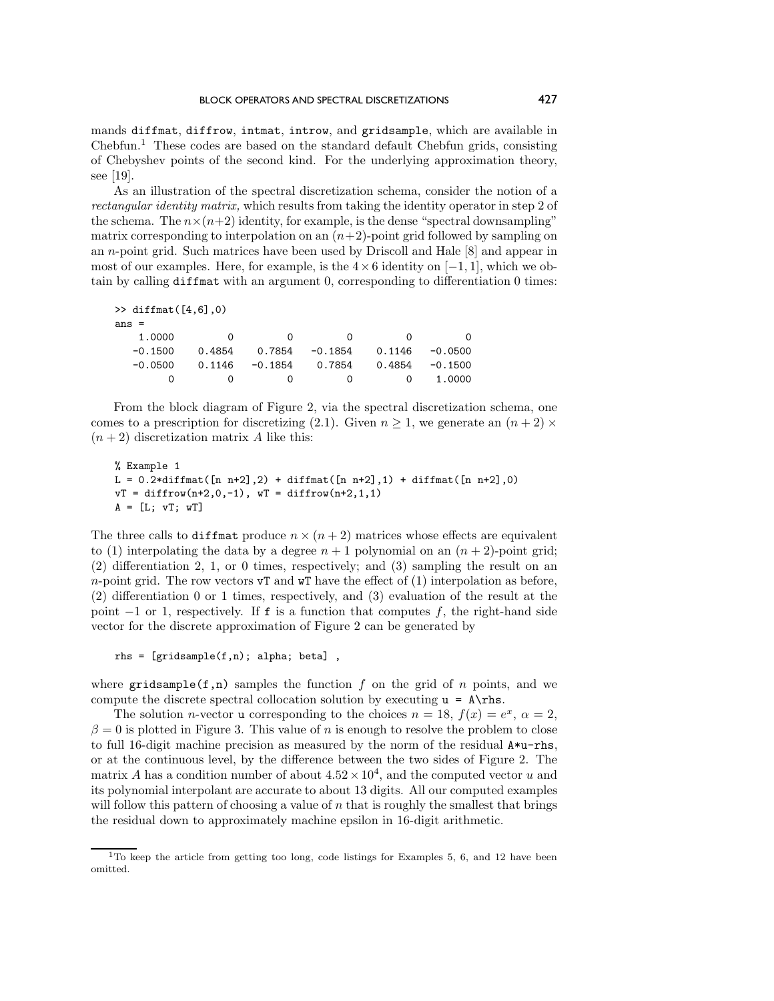mands diffmat, diffrow, intmat, introw, and gridsample, which are available in  $Chebfun.<sup>1</sup>$  $Chebfun.<sup>1</sup>$  $Chebfun.<sup>1</sup>$  These codes are based on the standard default Chebfun grids, consisting of Chebyshev points of the second kind. For the underlying approximation theory, see [\[19\]](#page-23-6).

As an illustration of the spectral discretization schema, consider the notion of a *rectangular identity matrix,* which results from taking the identity operator in step 2 of the schema. The  $n \times (n+2)$  identity, for example, is the dense "spectral downsampling" matrix corresponding to interpolation on an  $(n+2)$ -point grid followed by sampling on an n-point grid. Such matrices have been used by Driscoll and Hale [\[8\]](#page-22-4) and appear in most of our examples. Here, for example, is the  $4\times 6$  identity on [−1, 1], which we obtain by calling diffmat with an argument 0, corresponding to differentiation 0 times:

```
\gg diffmat([4, 6],0)
ans =
```

| 1.0000    | $\Omega$ |                             | $\mathbf{r}$<br>$\Omega$ | $\Omega$ | $\Omega$          |
|-----------|----------|-----------------------------|--------------------------|----------|-------------------|
| $-0.1500$ |          | $0.4854$ $0.7854$ $-0.1854$ |                          |          | $0.1146 - 0.0500$ |
| $-0.0500$ |          | $0.1146 - 0.1854 0.7854$    |                          |          | $0.4854 - 0.1500$ |
| $\Omega$  | $\cap$   | $\Omega$                    | $\Omega$                 |          | 0 1.0000          |

From the block diagram of Figure [2,](#page-2-0) via the spectral discretization schema, one comes to a prescription for discretizing [\(2.1\)](#page-2-1). Given  $n \geq 1$ , we generate an  $(n + 2) \times$  $(n+2)$  discretization matrix A like this:

```
% Example 1
L = 0.2*diffmat([n n+2], 2) + diffmat([n n+2], 1) + diffmat([n n+2], 0)vT = diffrow(n+2,0,-1), wT = diffrow(n+2,1,1)A = [L; vT; wT]
```
The three calls to diffmat produce  $n \times (n+2)$  matrices whose effects are equivalent to (1) interpolating the data by a degree  $n + 1$  polynomial on an  $(n + 2)$ -point grid; (2) differentiation 2, 1, or 0 times, respectively; and (3) sampling the result on an n-point grid. The row vectors  $\mathbf{v}^T$  and  $\mathbf{w}^T$  have the effect of (1) interpolation as before, (2) differentiation 0 or 1 times, respectively, and (3) evaluation of the result at the point  $-1$  or 1, respectively. If f is a function that computes f, the right-hand side vector for the discrete approximation of Figure [2](#page-2-0) can be generated by

rhs = [gridsample(f,n); alpha; beta] ,

where gridsample(f,n) samples the function f on the grid of n points, and we compute the discrete spectral collocation solution by executing  $u = A\r$ hs.

The solution *n*-vector **u** corresponding to the choices  $n = 18$ ,  $f(x) = e^x$ ,  $\alpha = 2$ ,  $\beta = 0$  is plotted in Figure [3.](#page-5-1) This value of n is enough to resolve the problem to close to full 16-digit machine precision as measured by the norm of the residual A\*u-rhs, or at the continuous level, by the difference between the two sides of Figure [2.](#page-2-0) The matrix A has a condition number of about  $4.52 \times 10^4$ , and the computed vector u and its polynomial interpolant are accurate to about 13 digits. All our computed examples will follow this pattern of choosing a value of  $n$  that is roughly the smallest that brings the residual down to approximately machine epsilon in 16-digit arithmetic.

<span id="page-4-0"></span><sup>&</sup>lt;sup>1</sup>To keep the article from getting too long, code listings for Examples 5, 6, and 12 have been omitted.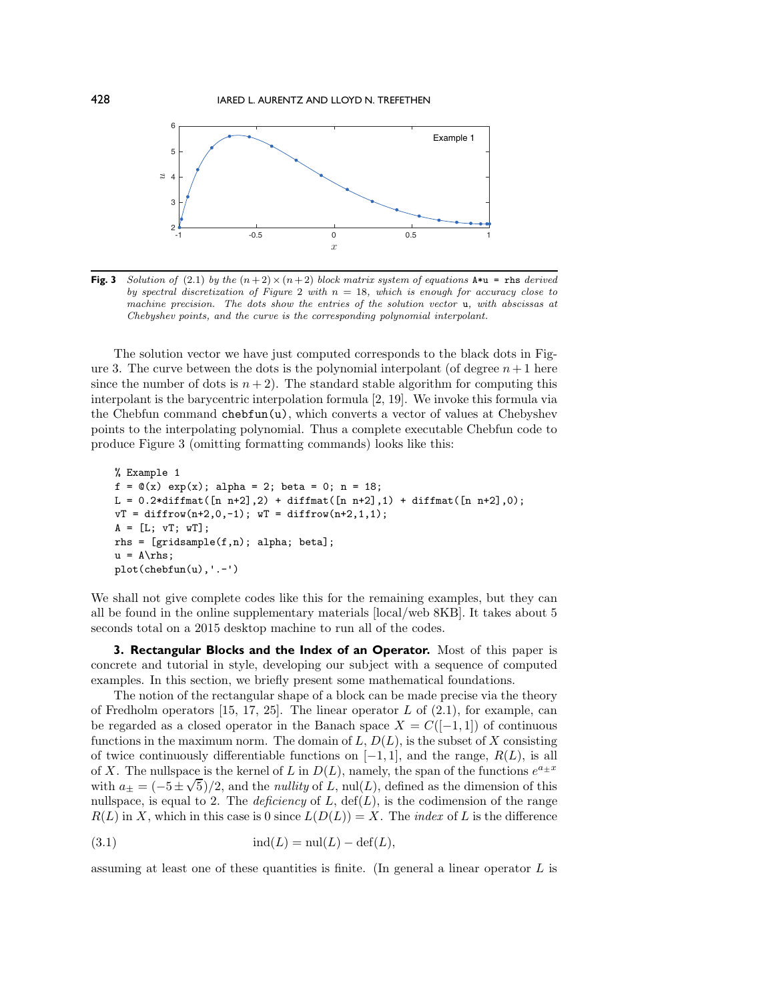<span id="page-5-1"></span>

**Fig. 3** Solution of (2.[1\)](#page-2-1) by the  $(n+2) \times (n+2)$  block matrix system of equations  $A * u =$  rhs derived by spectral discretization of Figure [2](#page-2-0) with  $n = 18$ , which is enough for accuracy close to machine precision. The dots show the entries of the solution vector u, with abscissas at Chebyshev points, and the curve is the corresponding polynomial interpolant.

The solution vector we have just computed corresponds to the black dots in Fig-ure [3.](#page-5-1) The curve between the dots is the polynomial interpolant (of degree  $n + 1$  here since the number of dots is  $n + 2$ ). The standard stable algorithm for computing this interpolant is the barycentric interpolation formula [\[2,](#page-22-6) [19\]](#page-23-6). We invoke this formula via the Chebfun command chebfun(u), which converts a vector of values at Chebyshev points to the interpolating polynomial. Thus a complete executable Chebfun code to produce Figure [3](#page-5-1) (omitting formatting commands) looks like this:

```
% Example 1
f = \mathbb{Q}(x) \exp(x); alpha = 2; beta = 0; n = 18;
L = 0.2*diffmat([n n+2], 2) + diffmat([n n+2], 1) + diffmat([n n+2], 0);vT = diffrow(n+2,0,-1); wT = diffrow(n+2,1,1);A = [L; vT; wT];rhs = [gridsample(f,n); alpha; beta];
u = A\rhspace{0.03cm}\rightharpoonup A\rightharpoonupplot(chebfun(u),'.-')
```
We shall not give complete codes like this for the remaining examples, but they can all be found in the online supplementary materials [\[local/](M106597R_Supplementary_Materials_1.txt)[web](http://epubs.siam.org/doi/suppl/10.1137/16M1065975/suppl_file/M106597R_Supplementary_Materials_1.txt) 8KB]. It takes about 5 seconds total on a 2015 desktop machine to run all of the codes.

<span id="page-5-0"></span>**3. Rectangular Blocks and the Index of an Operator.** Most of this paper is concrete and tutorial in style, developing our subject with a sequence of computed examples. In this section, we briefly present some mathematical foundations.

The notion of the rectangular shape of a block can be made precise via the theory of Fredholm operators  $[15, 17, 25]$  $[15, 17, 25]$  $[15, 17, 25]$ . The linear operator L of  $(2.1)$ , for example, can be regarded as a closed operator in the Banach space  $X = C([-1, 1])$  of continuous functions in the maximum norm. The domain of  $L, D(L)$ , is the subset of X consisting of twice continuously differentiable functions on  $[-1, 1]$ , and the range,  $R(L)$ , is all of X. The nullspace is the kernel of L in  $D(L)$ , namely, the span of the functions  $e^{a \pm x}$ with  $a_{\pm} = (-5 \pm \sqrt{5})/2$ , and the *nullity* of L, nul(L), defined as the dimension of this nullspace, is equal to 2. The *deficiency* of  $L$ ,  $\text{def}(L)$ , is the codimension of the range  $R(L)$  in X, which in this case is 0 since  $L(D(L)) = X$ . The *index* of L is the difference

(3.1) ind(L) = nul(L) − def(L),

assuming at least one of these quantities is finite. (In general a linear operator  $L$  is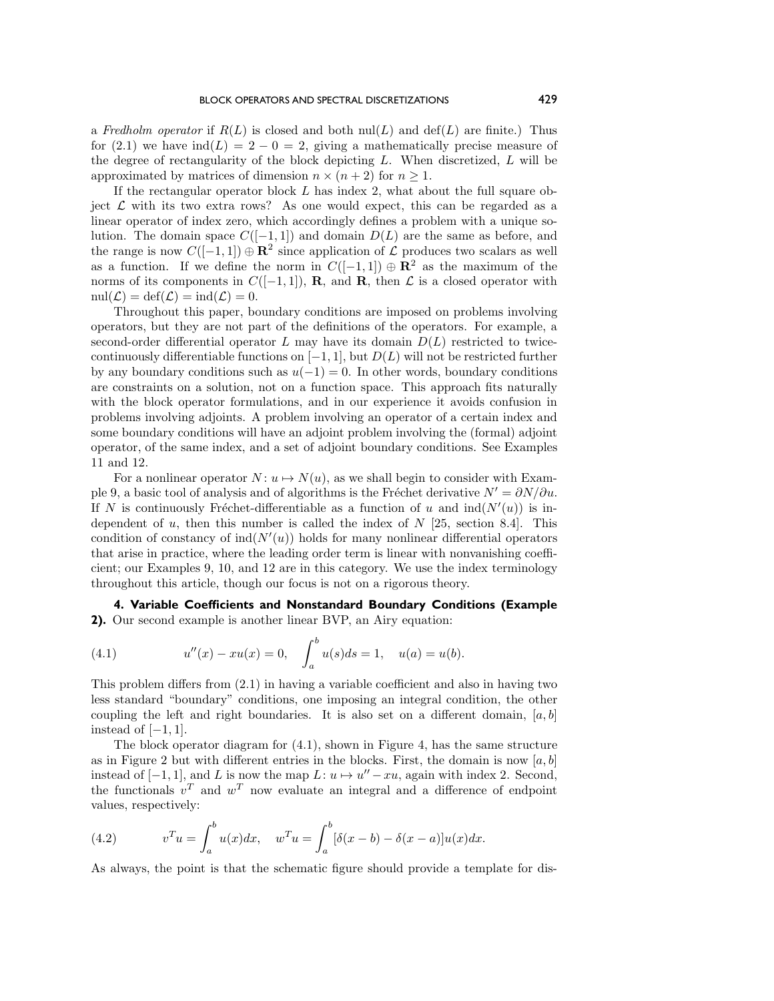a *Fredholm operator* if  $R(L)$  is closed and both  $\text{null}(L)$  and  $\text{def}(L)$  are finite.) Thus for [\(2.1\)](#page-2-1) we have  $\text{ind}(L)=2 - 0 = 2$ , giving a mathematically precise measure of the degree of rectangularity of the block depicting  $L$ . When discretized,  $L$  will be approximated by matrices of dimension  $n \times (n+2)$  for  $n \geq 1$ .

If the rectangular operator block  $L$  has index 2, what about the full square object  $\mathcal L$  with its two extra rows? As one would expect, this can be regarded as a linear operator of index zero, which accordingly defines a problem with a unique solution. The domain space  $C([-1, 1])$  and domain  $D(L)$  are the same as before, and the range is now  $C([-1, 1]) \oplus \mathbb{R}^2$  since application of  $\mathcal L$  produces two scalars as well as a function. If we define the norm in  $C([-1, 1]) \oplus \mathbb{R}^2$  as the maximum of the norms of its components in  $C([-1, 1])$ , **R**, and **R**, then  $\mathcal L$  is a closed operator with  $\text{null}(\mathcal{L}) = \text{def}(\mathcal{L}) = \text{ind}(\mathcal{L}) = 0.$ 

Throughout this paper, boundary conditions are imposed on problems involving operators, but they are not part of the definitions of the operators. For example, a second-order differential operator L may have its domain  $D(L)$  restricted to twicecontinuously differentiable functions on  $[-1, 1]$ , but  $D(L)$  will not be restricted further by any boundary conditions such as  $u(-1) = 0$ . In other words, boundary conditions are constraints on a solution, not on a function space. This approach fits naturally with the block operator formulations, and in our experience it avoids confusion in problems involving adjoints. A problem involving an operator of a certain index and some boundary conditions will have an adjoint problem involving the (formal) adjoint operator, of the same index, and a set of adjoint boundary conditions. See Examples 11 and 12.

For a nonlinear operator  $N: u \mapsto N(u)$ , as we shall begin to consider with Example 9, a basic tool of analysis and of algorithms is the Fréchet derivative  $N' = \partial N/\partial u$ . If N is continuously Fréchet-differentiable as a function of u and  $\text{ind}(N'(u))$  is independent of u, then this number is called the index of  $N$  [\[25,](#page-23-10) section 8.4]. This condition of constancy of  $\text{ind}(N'(u))$  holds for many nonlinear differential operators that arise in practice, where the leading order term is linear with nonvanishing coefficient; our Examples 9, 10, and 12 are in this category. We use the index terminology throughout this article, though our focus is not on a rigorous theory.

**4. Variable Coefficients and Nonstandard Boundary Conditions (Example 2).** Our second example is another linear BVP, an Airy equation:

<span id="page-6-0"></span>(4.1) 
$$
u''(x) - xu(x) = 0, \quad \int_a^b u(s)ds = 1, \quad u(a) = u(b).
$$

This problem differs from [\(2.1\)](#page-2-1) in having a variable coefficient and also in having two less standard "boundary" conditions, one imposing an integral condition, the other coupling the left and right boundaries. It is also set on a different domain,  $[a, b]$ instead of  $[-1, 1]$ .

The block operator diagram for [\(4.1\)](#page-6-0), shown in Figure [4,](#page-7-0) has the same structure as in Figure [2](#page-2-0) but with different entries in the blocks. First, the domain is now [a, b] instead of  $[-1, 1]$ , and L is now the map  $L: u \mapsto u'' - xu$ , again with index 2. Second, the functionals  $v^T$  and  $w^T$  now evaluate an integral and a difference of endpoint values, respectively:

(4.2) 
$$
v^{T}u = \int_{a}^{b} u(x)dx, \quad w^{T}u = \int_{a}^{b} [\delta(x-b) - \delta(x-a)]u(x)dx.
$$

As always, the point is that the schematic figure should provide a template for dis-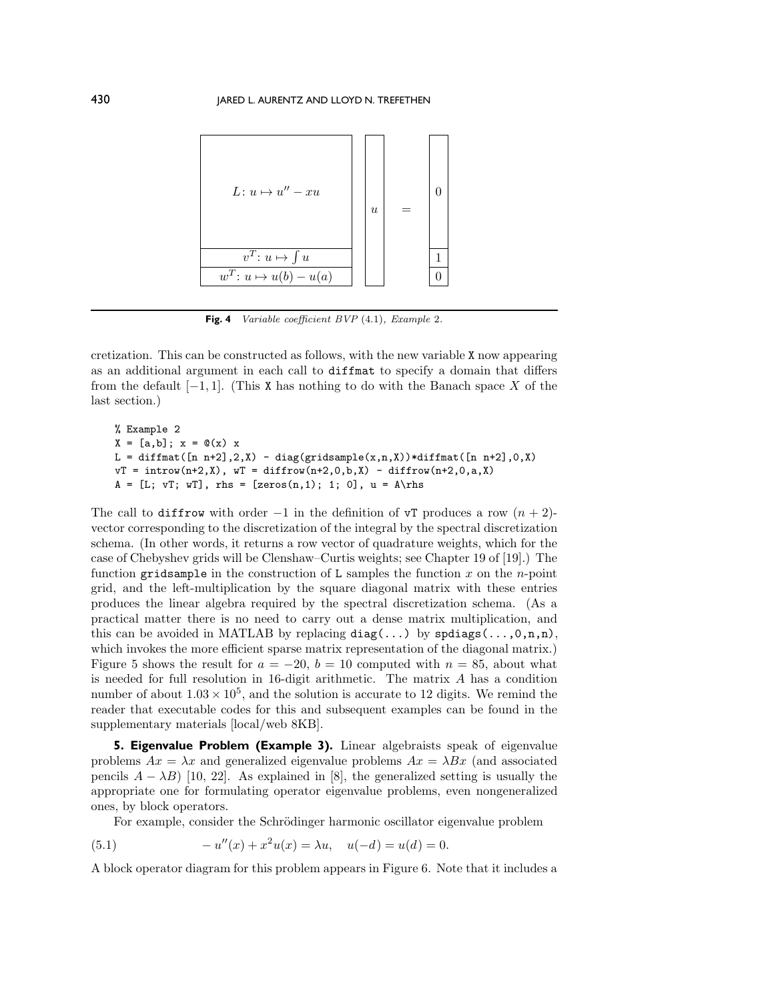<span id="page-7-0"></span>

**Fig. 4** Variable coefficient BVP (4.[1\)](#page-6-0), Example 2.

cretization. This can be constructed as follows, with the new variable X now appearing as an additional argument in each call to diffmat to specify a domain that differs from the default  $[-1, 1]$ . (This X has nothing to do with the Banach space X of the last section.)

```
% Example 2
X = [a, b]; x = \mathbb{Q}(x) xL = diffmat([n n+2], 2, X) - diag(gridsample(x, n, X))*diffmat([n n+2], 0, X)
vT = introw(n+2, X), wT = diffrow(n+2, 0, b, X) - diffrow(n+2, 0, a, X)A = [L; vT; wT], rhs = [zeros(n,1); 1; 0], u = A\rns
```
The call to diffrow with order −1 in the definition of  $\sigma$ T produces a row  $(n + 2)$ vector corresponding to the discretization of the integral by the spectral discretization schema. (In other words, it returns a row vector of quadrature weights, which for the case of Chebyshev grids will be Clenshaw–Curtis weights; see Chapter 19 of [\[19\]](#page-23-6).) The function gridsample in the construction of L samples the function x on the n-point grid, and the left-multiplication by the square diagonal matrix with these entries produces the linear algebra required by the spectral discretization schema. (As a practical matter there is no need to carry out a dense matrix multiplication, and this can be avoided in MATLAB by replacing  $diag(\ldots)$  by  $spdiags(\ldots,0,n,n)$ , which invokes the more efficient sparse matrix representation of the diagonal matrix.) Figure [5](#page-8-0) shows the result for  $a = -20$ ,  $b = 10$  computed with  $n = 85$ , about what is needed for full resolution in 16-digit arithmetic. The matrix A has a condition number of about  $1.03 \times 10^5$ , and the solution is accurate to 12 digits. We remind the reader that executable codes for this and subsequent examples can be found in the supplementary materials [\[local](M106597R_Supplementary_Materials_1.txt)[/web](http://epubs.siam.org/doi/suppl/10.1137/16M1065975/suppl_file/M106597R_Supplementary_Materials_1.txt) 8KB].

**5. Eigenvalue Problem (Example 3).** Linear algebraists speak of eigenvalue problems  $Ax = \lambda x$  and generalized eigenvalue problems  $Ax = \lambda Bx$  (and associated pencils  $A - \lambda B$  [\[10,](#page-22-1) [22\]](#page-23-0). As explained in [\[8\]](#page-22-4), the generalized setting is usually the appropriate one for formulating operator eigenvalue problems, even nongeneralized ones, by block operators.

<span id="page-7-1"></span>For example, consider the Schrödinger harmonic oscillator eigenvalue problem

(5.1) 
$$
-u''(x) + x^2u(x) = \lambda u, \quad u(-d) = u(d) = 0.
$$

A block operator diagram for this problem appears in Figure [6.](#page-8-1) Note that it includes a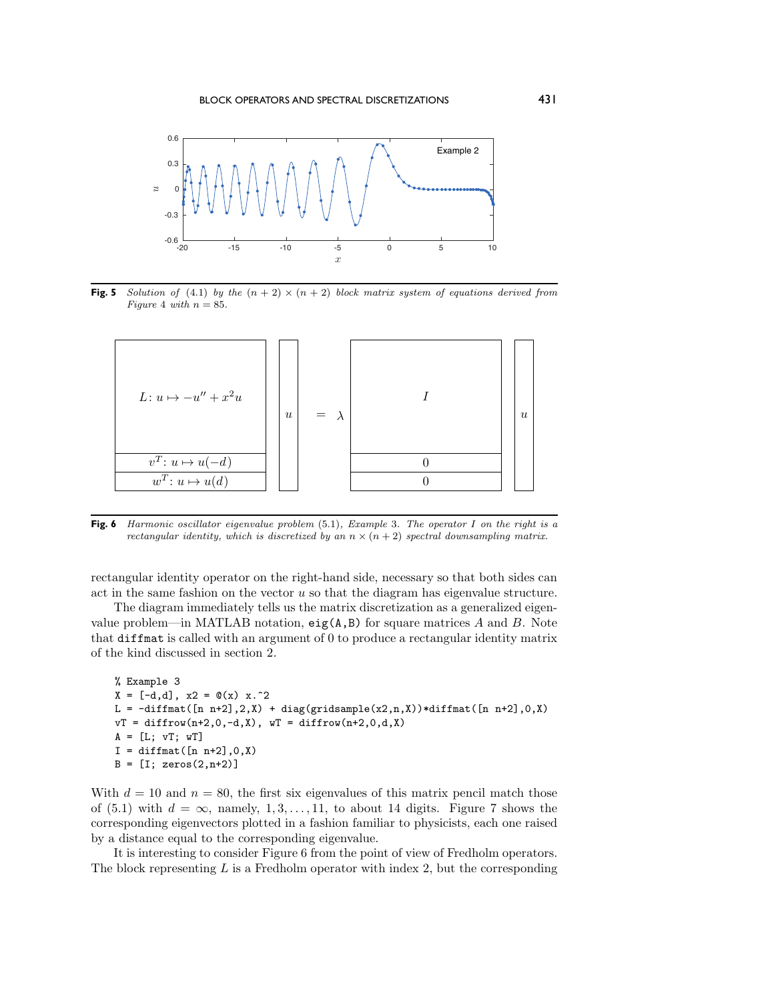<span id="page-8-0"></span>

**Fig. 5** Solution of [\(4](#page-6-0).1) by the  $(n + 2) \times (n + 2)$  block matrix system of equations derived from Figure [4](#page-7-0) with  $n = 85$ .

<span id="page-8-1"></span>

**Fig. 6** Harmonic oscillator eigenvalue problem (5.[1\)](#page-7-1), Example 3. The operator I on the right is a rectangular identity, which is discretized by an  $n \times (n+2)$  spectral downsampling matrix.

rectangular identity operator on the right-hand side, necessary so that both sides can act in the same fashion on the vector  $u$  so that the diagram has eigenvalue structure.

The diagram immediately tells us the matrix discretization as a generalized eigenvalue problem—in MATLAB notation,  $eig(A,B)$  for square matrices A and B. Note that diffmat is called with an argument of 0 to produce a rectangular identity matrix of the kind discussed in section 2.

```
% Example 3
X = [-d, d], x2 = Q(x) x.^2L = -diffmat([n n+2],2,X) + diag(gridsample(x2,n,X))*diffmat([n n+2],0,X)vT = diffrow(n+2,0,-d,X), wT = diffrow(n+2,0,d,X)A = [L; vT; wT]I = diffmat([n n+2], 0, X)B = [I; zeros(2, n+2)]
```
With  $d = 10$  and  $n = 80$ , the first six eigenvalues of this matrix pencil match those of [\(5.1\)](#page-7-1) with  $d = \infty$ , namely, 1,3,..., 11, to about 14 digits. Figure [7](#page-9-0) shows the corresponding eigenvectors plotted in a fashion familiar to physicists, each one raised by a distance equal to the corresponding eigenvalue.

It is interesting to consider Figure [6](#page-8-1) from the point of view of Fredholm operators. The block representing  $L$  is a Fredholm operator with index 2, but the corresponding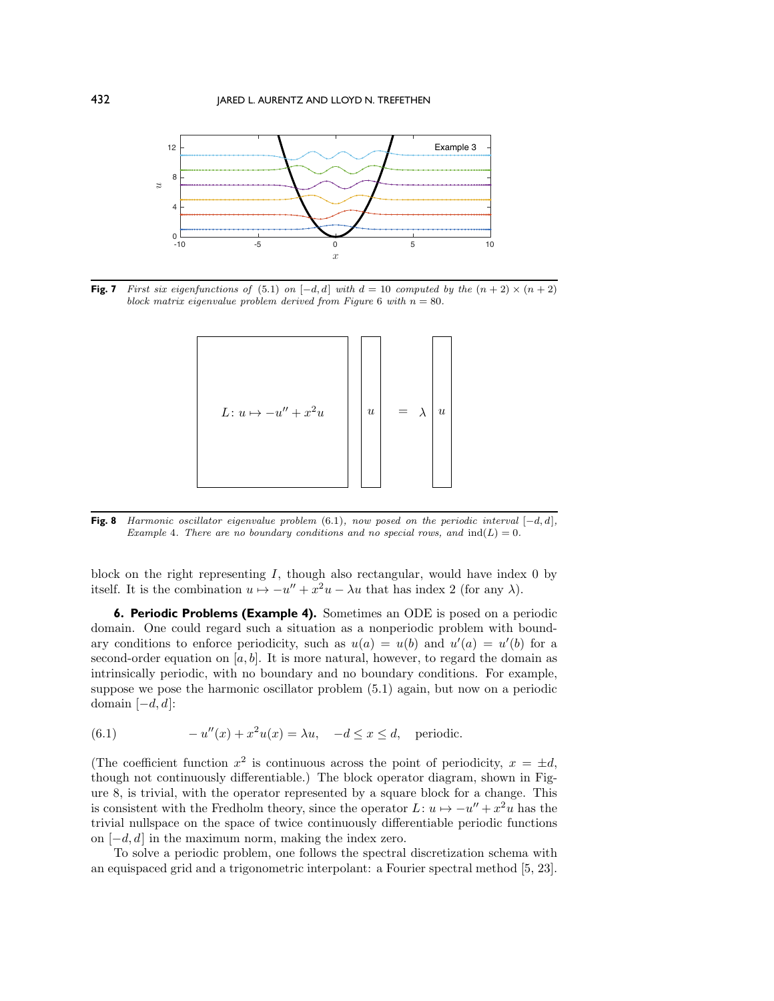<span id="page-9-0"></span>

<span id="page-9-2"></span>**Fig. 7** First six eigenfunctions of [\(5](#page-7-1).1) on  $[-d, d]$  with  $d = 10$  computed by the  $(n + 2) \times (n + 2)$ block matrix eigenvalue problem derived from Figure [6](#page-8-1) with  $n = 80$ .



**Fig. 8** Harmonic oscillator eigenvalue problem (6.[1\)](#page-9-1), now posed on the periodic interval  $[-d, d]$ , Example 4. There are no boundary conditions and no special rows, and  $ind(L)=0$ .

block on the right representing  $I$ , though also rectangular, would have index 0 by itself. It is the combination  $u \mapsto -u'' + x^2u - \lambda u$  that has index 2 (for any  $\lambda$ ).

<span id="page-9-3"></span>**6. Periodic Problems (Example 4).** Sometimes an ODE is posed on a periodic domain. One could regard such a situation as a nonperiodic problem with boundary conditions to enforce periodicity, such as  $u(a) = u(b)$  and  $u'(a) = u'(b)$  for a second-order equation on [a, b]. It is more natural, however, to regard the domain as intrinsically periodic, with no boundary and no boundary conditions. For example, suppose we pose the harmonic oscillator problem [\(5.1\)](#page-7-1) again, but now on a periodic domain  $[-d, d]$ :

<span id="page-9-1"></span>(6.1) 
$$
-u''(x) + x^2u(x) = \lambda u, \quad -d \le x \le d, \text{ periodic.}
$$

(The coefficient function  $x^2$  is continuous across the point of periodicity,  $x = \pm d$ , though not continuously differentiable.) The block operator diagram, shown in Figure [8,](#page-9-2) is trivial, with the operator represented by a square block for a change. This is consistent with the Fredholm theory, since the operator  $L: u \mapsto -u'' + x^2u$  has the trivial nullspace on the space of twice continuously differentiable periodic functions on  $[-d, d]$  in the maximum norm, making the index zero.

To solve a periodic problem, one follows the spectral discretization schema with an equispaced grid and a trigonometric interpolant: a Fourier spectral method [\[5,](#page-22-7) [23\]](#page-23-7).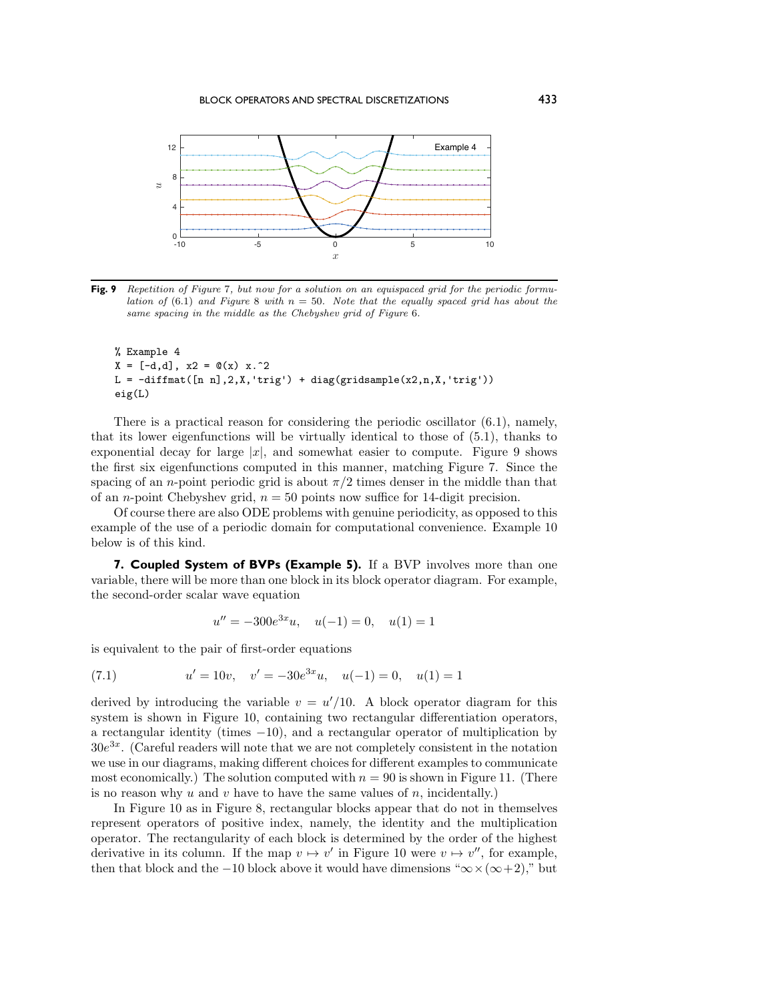<span id="page-10-1"></span>

**Fig. 9** Repetition of Figure [7](#page-9-0), but now for a solution on an equispaced grid for the periodic formu-lation of (6.[1\)](#page-9-1) and Figure [8](#page-9-2) with  $n = 50$ . Note that the equally spaced grid has about the same spacing in the middle as the Chebyshev grid of Figure [6](#page-8-1).

```
% Example 4
X = [-d, d], x2 = Q(x) x.^2L = -diffmat([n n], 2, X, 'trig') + diag(gridsample(x2, n, X, 'trig'))eig(L)
```
There is a practical reason for considering the periodic oscillator  $(6.1)$ , namely, that its lower eigenfunctions will be virtually identical to those of [\(5.1\)](#page-7-1), thanks to exponential decay for large  $|x|$ , and somewhat easier to compute. Figure [9](#page-10-1) shows the first six eigenfunctions computed in this manner, matching Figure [7.](#page-9-0) Since the spacing of an *n*-point periodic grid is about  $\pi/2$  times denser in the middle than that of an *n*-point Chebyshev grid,  $n = 50$  points now suffice for 14-digit precision.

Of course there are also ODE problems with genuine periodicity, as opposed to this example of the use of a periodic domain for computational convenience. Example 10 below is of this kind.

<span id="page-10-0"></span>**7. Coupled System of BVPs (Example 5).** If a BVP involves more than one variable, there will be more than one block in its block operator diagram. For example, the second-order scalar wave equation

<span id="page-10-2"></span>
$$
u'' = -300e^{3x}u, \quad u(-1) = 0, \quad u(1) = 1
$$

is equivalent to the pair of first-order equations

(7.1) 
$$
u' = 10v, \quad v' = -30e^{3x}u, \quad u(-1) = 0, \quad u(1) = 1
$$

derived by introducing the variable  $v = u'/10$ . A block operator diagram for this system is shown in Figure [10,](#page-11-0) containing two rectangular differentiation operators, a rectangular identity (times  $-10$ ), and a rectangular operator of multiplication by  $30e^{3x}$ . (Careful readers will note that we are not completely consistent in the notation we use in our diagrams, making different choices for different examples to communicate most economically.) The solution computed with  $n = 90$  is shown in Figure [11.](#page-11-1) (There is no reason why  $u$  and  $v$  have to have the same values of  $n$ , incidentally.)

In Figure [10](#page-11-0) as in Figure [8,](#page-9-2) rectangular blocks appear that do not in themselves represent operators of positive index, namely, the identity and the multiplication operator. The rectangularity of each block is determined by the order of the highest derivative in its column. If the map  $v \mapsto v'$  in Figure [10](#page-11-0) were  $v \mapsto v''$ , for example, then that block and the −10 block above it would have dimensions " $\infty \times (\infty + 2)$ ," but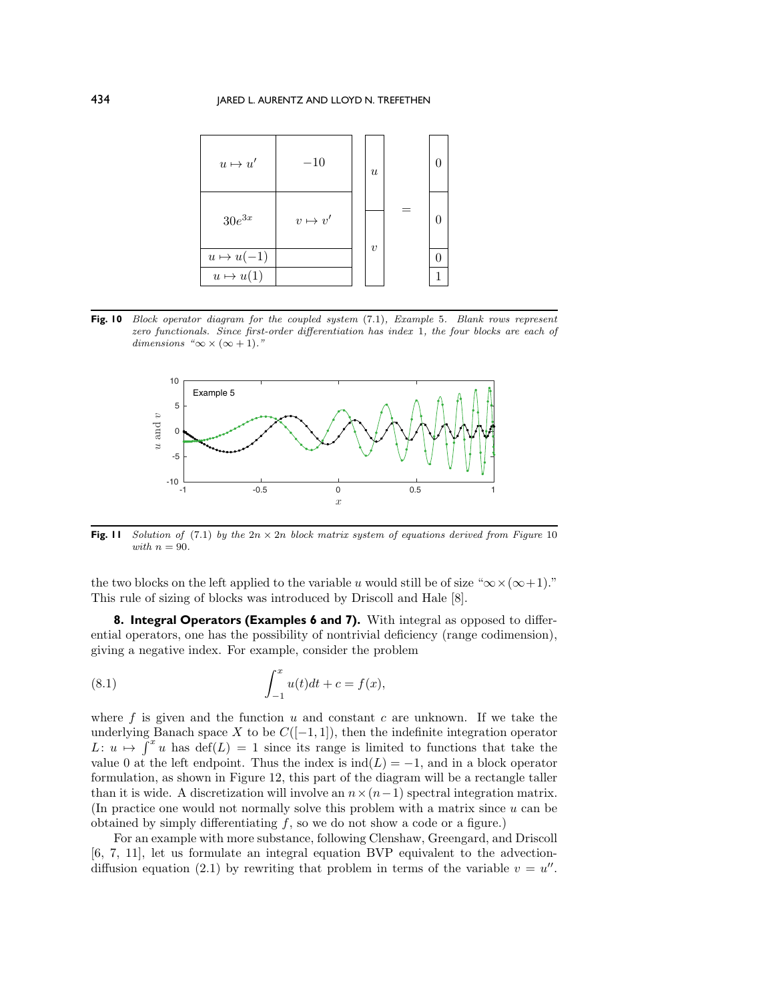<span id="page-11-0"></span>

<span id="page-11-1"></span>Fig. 10 Block operator diagram for the coupled system [\(7](#page-10-2).1), Example 5. Blank rows represent zero functionals. Since first-order differentiation has index 1, the four blocks are each of dimensions " $\infty \times (\infty + 1)$ ."



**Fig. 11** Solution of (7.[1\)](#page-10-2) by the  $2n \times 2n$  block matrix system of equations derived from Figure [10](#page-11-0) with  $n = 90$ .

the two blocks on the left applied to the variable u would still be of size " $\infty \times (\infty + 1)$ ." This rule of sizing of blocks was introduced by Driscoll and Hale [\[8\]](#page-22-4).

**8. Integral Operators (Examples 6 and 7).** With integral as opposed to differential operators, one has the possibility of nontrivial deficiency (range codimension), giving a negative index. For example, consider the problem

<span id="page-11-2"></span>(8.1) 
$$
\int_{-1}^{x} u(t)dt + c = f(x),
$$

where f is given and the function  $u$  and constant  $c$  are unknown. If we take the underlying Banach space X to be  $C([-1,1])$ , then the indefinite integration operator  $L: u \mapsto \int^x u$  has  $\text{def}(L) = 1$  since its range is limited to functions that take the value 0 at the left endpoint. Thus the index is  $\text{ind}(L) = -1$ , and in a block operator formulation, as shown in Figure [12,](#page-12-0) this part of the diagram will be a rectangle taller than it is wide. A discretization will involve an  $n \times (n-1)$  spectral integration matrix. (In practice one would not normally solve this problem with a matrix since  $u$  can be obtained by simply differentiating  $f$ , so we do not show a code or a figure.)

For an example with more substance, following Clenshaw, Greengard, and Driscoll [\[6,](#page-22-8) [7,](#page-22-9) [11\]](#page-22-10), let us formulate an integral equation BVP equivalent to the advection-diffusion equation [\(2.1\)](#page-2-1) by rewriting that problem in terms of the variable  $v = u''$ .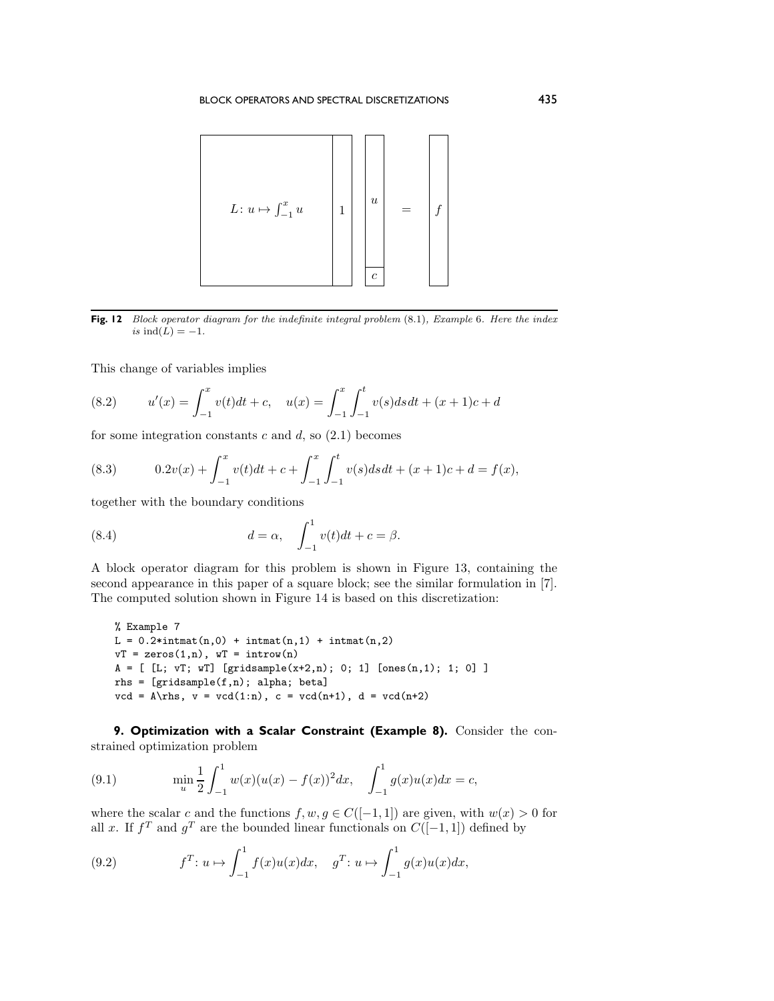<span id="page-12-0"></span>

**Fig. 12** Block operator diagram for the indefinite integral problem (8.[1\)](#page-11-2), Example 6. Here the index is  $ind(L) = -1$ .

This change of variables implies

<span id="page-12-3"></span>(8.2) 
$$
u'(x) = \int_{-1}^{x} v(t)dt + c, \quad u(x) = \int_{-1}^{x} \int_{-1}^{t} v(s)dsdt + (x+1)c + d
$$

for some integration constants  $c$  and  $d$ , so  $(2.1)$  becomes

<span id="page-12-1"></span>(8.3) 
$$
0.2v(x) + \int_{-1}^{x} v(t)dt + c + \int_{-1}^{x} \int_{-1}^{t} v(s)dsdt + (x+1)c + d = f(x),
$$

together with the boundary conditions

<span id="page-12-2"></span>(8.4) 
$$
d = \alpha, \quad \int_{-1}^{1} v(t)dt + c = \beta.
$$

A block operator diagram for this problem is shown in Figure [13,](#page-13-0) containing the second appearance in this paper of a square block; see the similar formulation in [\[7\]](#page-22-9). The computed solution shown in Figure [14](#page-13-1) is based on this discretization:

```
% Example 7
L = 0.2*intmat(n,0) + intmat(n,1) + intmat(n,2)vT = zeros(1, n), wT = introw(n)A = [ [L; vT; wT] [gridsample(x+2, n); 0; 1] [ones(n, 1); 1; 0] ]rhs = [gridsample(f,n); alpha; beta]
vcd = A\rhspace{1.5pt}\rhspace{1.5pt}v = vcd(1:n), c = vcd(n+1), d = vcd(n+2)
```
**9. Optimization with a Scalar Constraint (Example 8).** Consider the constrained optimization problem

<span id="page-12-4"></span>(9.1) 
$$
\min_{u} \frac{1}{2} \int_{-1}^{1} w(x)(u(x) - f(x))^{2} dx, \quad \int_{-1}^{1} g(x)u(x) dx = c,
$$

where the scalar c and the functions  $f, w, g \in C([-1, 1])$  are given, with  $w(x) > 0$  for all x. If  $f^T$  and  $g^T$  are the bounded linear functionals on  $C([-1, 1])$  defined by

(9.2) 
$$
f^T: u \mapsto \int_{-1}^1 f(x)u(x)dx, \quad g^T: u \mapsto \int_{-1}^1 g(x)u(x)dx,
$$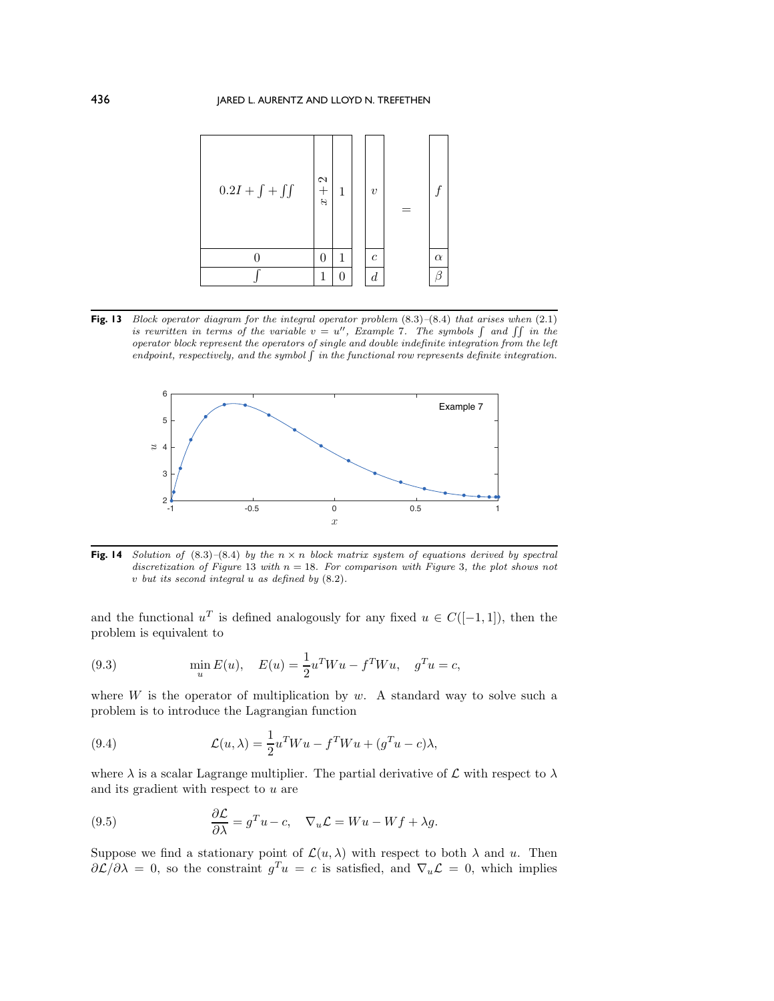<span id="page-13-0"></span>

**Fig. 13** Block operator diagram for the integral operator problem (8.[3\)](#page-12-1)–(8.[4\)](#page-12-2) that arises when (2.[1\)](#page-2-1) is rewritten in terms of the variable  $v = u''$ , Example 7. The symbols  $\int$  and  $\int \int$  in the operator block represent the operators of single and double indefinite integration from the left endpoint, respectively, and the symbol  $\int$  in the functional row represents definite integration.

<span id="page-13-1"></span>

**Fig. 14** Solution of  $(8.3)-(8.4)$  $(8.3)-(8.4)$  $(8.3)-(8.4)$  by the  $n \times n$  block matrix system of equations derived by spectral discretization of Figure [13](#page-13-0) with  $n = 18$ . For comparison with Figure [3](#page-5-1), the plot shows not v but its second integral u as defined by [\(8](#page-12-3).2).

and the functional  $u^T$  is defined analogously for any fixed  $u \in C([-1,1])$ , then the problem is equivalent to

(9.3) 
$$
\min_{u} E(u), \quad E(u) = \frac{1}{2} u^T W u - f^T W u, \quad g^T u = c,
$$

where  $W$  is the operator of multiplication by  $w$ . A standard way to solve such a problem is to introduce the Lagrangian function

(9.4) 
$$
\mathcal{L}(u,\lambda) = \frac{1}{2}u^T W u - f^T W u + (g^T u - c)\lambda,
$$

where  $\lambda$  is a scalar Lagrange multiplier. The partial derivative of  $\mathcal L$  with respect to  $\lambda$ and its gradient with respect to  $u$  are

<span id="page-13-2"></span>(9.5) 
$$
\frac{\partial \mathcal{L}}{\partial \lambda} = g^T u - c, \quad \nabla_u \mathcal{L} = W u - W f + \lambda g.
$$

Suppose we find a stationary point of  $\mathcal{L}(u, \lambda)$  with respect to both  $\lambda$  and u. Then  $\partial \mathcal{L}/\partial \lambda = 0$ , so the constraint  $g^T u = c$  is satisfied, and  $\nabla_u \mathcal{L} = 0$ , which implies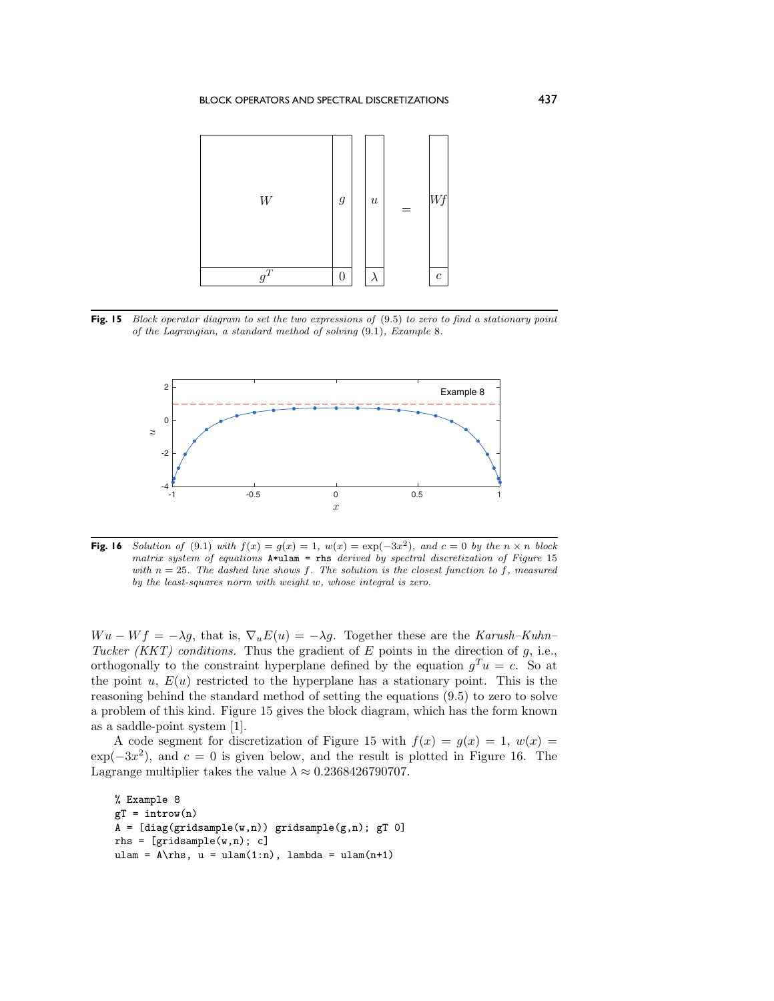<span id="page-14-0"></span>

**Fig. 15** Block operator diagram to set the two expressions of  $(9.5)$  $(9.5)$  to zero to find a stationary point of the Lagrangian, a standard method of solving [\(9](#page-12-4).1), Example 8.

<span id="page-14-1"></span>

**Fig. 16** Solution of (9.[1\)](#page-12-4) with  $f(x) = g(x) = 1$ ,  $w(x) = \exp(-3x^2)$ , and  $c = 0$  by the  $n \times n$  block matrix system of equations  $A*u$ lam = rhs derived by spectral discretization of Figure [15](#page-14-0) with  $n = 25$ . The dashed line shows f. The solution is the closest function to f, measured by the least-squares norm with weight w, whose integral is zero.

 $W u - W f = -\lambda g$ , that is,  $\nabla_u E(u) = -\lambda g$ . Together these are the *Karush–Kuhn– Tucker (KKT) conditions.* Thus the gradient of  $E$  points in the direction of  $g$ , i.e., orthogonally to the constraint hyperplane defined by the equation  $g^T u = c$ . So at the point  $u, E(u)$  restricted to the hyperplane has a stationary point. This is the reasoning behind the standard method of setting the equations [\(9.5\)](#page-13-2) to zero to solve a problem of this kind. Figure [15](#page-14-0) gives the block diagram, which has the form known as a saddle-point system [\[1\]](#page-22-0).

A code segment for discretization of Figure [15](#page-14-0) with  $f(x) = g(x) = 1$ ,  $w(x) =$  $\exp(-3x^2)$ , and  $c = 0$  is given below, and the result is plotted in Figure [16.](#page-14-1) The Lagrange multiplier takes the value  $\lambda \approx 0.2368426790707$ .

```
% Example 8
gT = introw(n)A = [diag(gridsample(w,n)) gridsample(g,n); gT 0]rhs = [gridsample(w, n); c]ulam = A\rightharpoonupns, u = ulam(1:n), lambda = ulam(n+1)
```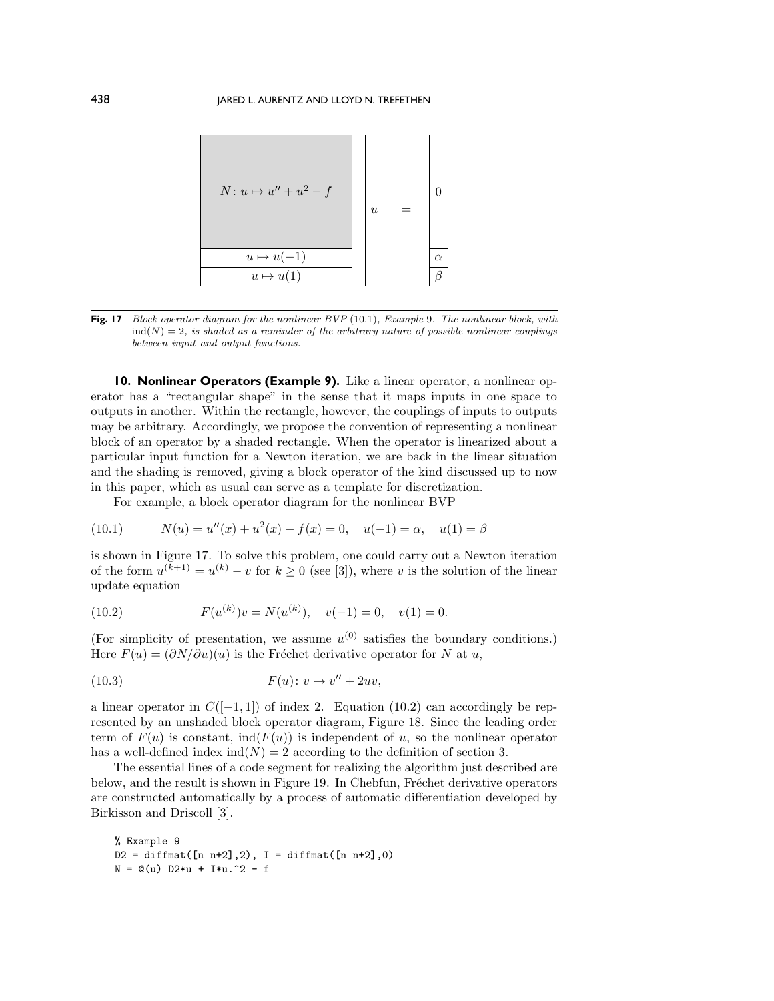<span id="page-15-1"></span>

**Fig. 17** Block operator diagram for the nonlinear BVP [\(10](#page-15-0).1), Example 9. The nonlinear block, with  $ind(N)=2$ , is shaded as a reminder of the arbitrary nature of possible nonlinear couplings between input and output functions.

**10. Nonlinear Operators (Example 9).** Like a linear operator, a nonlinear operator has a "rectangular shape" in the sense that it maps inputs in one space to outputs in another. Within the rectangle, however, the couplings of inputs to outputs may be arbitrary. Accordingly, we propose the convention of representing a nonlinear block of an operator by a shaded rectangle. When the operator is linearized about a particular input function for a Newton iteration, we are back in the linear situation and the shading is removed, giving a block operator of the kind discussed up to now in this paper, which as usual can serve as a template for discretization.

<span id="page-15-0"></span>For example, a block operator diagram for the nonlinear BVP

(10.1) 
$$
N(u) = u''(x) + u^{2}(x) - f(x) = 0, \quad u(-1) = \alpha, \quad u(1) = \beta
$$

is shown in Figure [17.](#page-15-1) To solve this problem, one could carry out a Newton iteration of the form  $u^{(k+1)} = u^{(k)} - v$  for  $k \geq 0$  (see [\[3\]](#page-22-3)), where v is the solution of the linear update equation

<span id="page-15-2"></span>(10.2) 
$$
F(u^{(k)})v = N(u^{(k)}), \quad v(-1) = 0, \quad v(1) = 0.
$$

(For simplicity of presentation, we assume  $u^{(0)}$  satisfies the boundary conditions.) Here  $F(u)=(\partial N/\partial u)(u)$  is the Fréchet derivative operator for N at u,

$$
(10.3) \tF(u): v \mapsto v'' + 2uv,
$$

a linear operator in  $C([-1, 1])$  of index 2. Equation [\(10.2\)](#page-15-2) can accordingly be represented by an unshaded block operator diagram, Figure [18.](#page-16-0) Since the leading order term of  $F(u)$  is constant, ind( $F(u)$ ) is independent of u, so the nonlinear operator has a well-defined index  $\text{ind}(N) = 2$  according to the definition of section [3.](#page-5-0)

The essential lines of a code segment for realizing the algorithm just described are below, and the result is shown in Figure [19.](#page-16-1) In Chebfun, Fréchet derivative operators are constructed automatically by a process of automatic differentiation developed by Birkisson and Driscoll [\[3\]](#page-22-3).

```
% Example 9
D2 = diffmat([n n+2], 2), I = diffmat([n n+2], 0)N = \mathbb{Q}(u) D2*u + I*u.^2 - f
```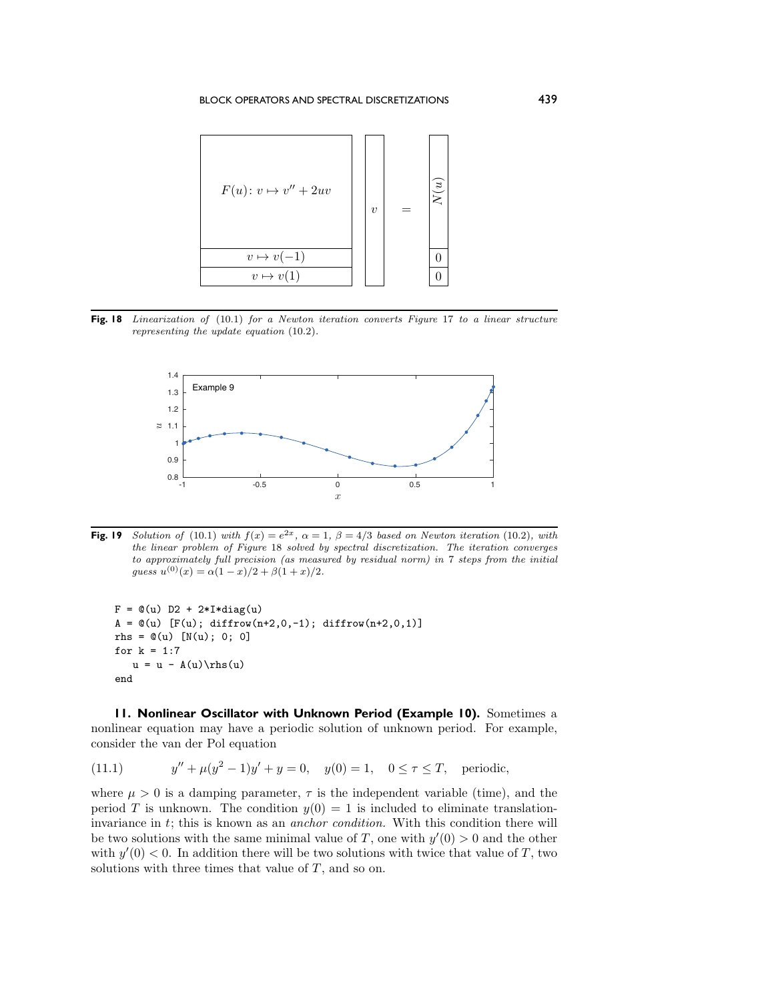<span id="page-16-0"></span>

<span id="page-16-1"></span>Fig. 18 Linearization of [\(10](#page-15-0).1) for a Newton iteration converts Figure [17](#page-15-1) to a linear structure representing the update equation [\(10](#page-15-2).2).



**Fig. 19** Solution of [\(10](#page-15-2).1) with  $f(x) = e^{2x}$ ,  $\alpha = 1$ ,  $\beta = 4/3$  based on Newton iteration (10.2), with the linear problem of Figure [18](#page-16-0) solved by spectral discretization. The iteration converges to approximately full precision (as measured by residual norm) in 7 steps from the initial guess  $u^{(0)}(x) = \alpha(1-x)/2 + \beta(1+x)/2.$ 

```
F = \mathbb{Q}(u) D2 + 2*I*diag(u)
A = \mathbb{Q}(u) [F(u); diffrow(n+2,0,-1); diffrow(n+2,0,1)]
rhs = \mathbb{O}(u) [N(u); 0; 0]
for k = 1:7u = u - A(u)\text{h s(u)}end
```
**11. Nonlinear Oscillator with Unknown Period (Example 10).** Sometimes a nonlinear equation may have a periodic solution of unknown period. For example, consider the van der Pol equation

(11.1)  $y'' + \mu(y^2 - 1)y' + y = 0$ ,  $y(0) = 1$ ,  $0 \le \tau \le T$ , periodic,

where  $\mu > 0$  is a damping parameter,  $\tau$  is the independent variable (time), and the period T is unknown. The condition  $y(0) = 1$  is included to eliminate translationinvariance in t; this is known as an *anchor condition.* With this condition there will be two solutions with the same minimal value of T, one with  $y'(0) > 0$  and the other with  $y'(0) < 0$ . In addition there will be two solutions with twice that value of T, two solutions with three times that value of  $T$ , and so on.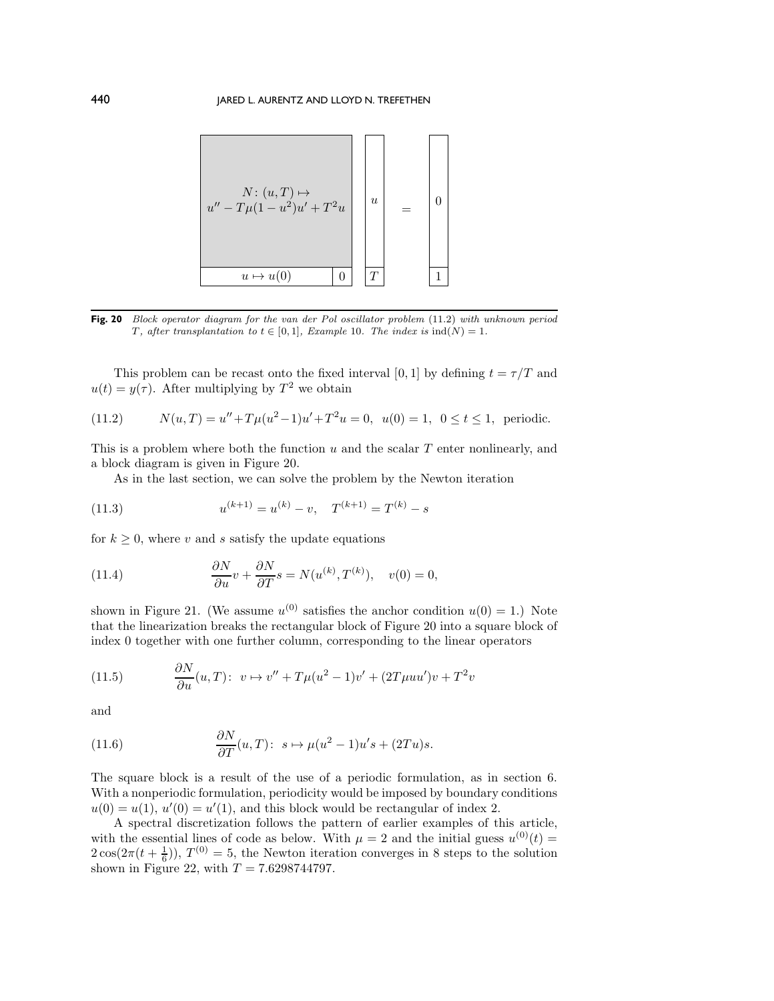<span id="page-17-1"></span>

**Fig. 20** Block operator diagram for the van der Pol oscillator problem [\(11](#page-17-0).2) with unknown period T, after transplantation to  $t \in [0,1]$ , Example 10. The index is  $ind(N)=1$ .

This problem can be recast onto the fixed interval [0, 1] by defining  $t = \tau/T$  and  $u(t) = y(\tau)$ . After multiplying by  $T^2$  we obtain

<span id="page-17-0"></span>(11.2) 
$$
N(u,T) = u'' + T\mu(u^2 - 1)u' + T^2u = 0, \ \ u(0) = 1, \ \ 0 \le t \le 1, \ \ \text{periodic.}
$$

This is a problem where both the function  $u$  and the scalar  $T$  enter nonlinearly, and a block diagram is given in Figure [20.](#page-17-1)

As in the last section, we can solve the problem by the Newton iteration

(11.3) 
$$
u^{(k+1)} = u^{(k)} - v, \quad T^{(k+1)} = T^{(k)} - s
$$

for  $k \geq 0$ , where v and s satisfy the update equations

(11.4) 
$$
\frac{\partial N}{\partial u}v + \frac{\partial N}{\partial T}s = N(u^{(k)}, T^{(k)}), \quad v(0) = 0,
$$

shown in Figure [21.](#page-18-0) (We assume  $u^{(0)}$  satisfies the anchor condition  $u(0) = 1$ .) Note that the linearization breaks the rectangular block of Figure [20](#page-17-1) into a square block of index 0 together with one further column, corresponding to the linear operators

(11.5) 
$$
\frac{\partial N}{\partial u}(u,T): \ v \mapsto v'' + T\mu(u^2 - 1)v' + (2T\mu uu')v + T^2v
$$

and

(11.6) 
$$
\frac{\partial N}{\partial T}(u,T): s \mapsto \mu(u^2-1)u's + (2Tu)s.
$$

The square block is a result of the use of a periodic formulation, as in section [6.](#page-9-3) With a nonperiodic formulation, periodicity would be imposed by boundary conditions  $u(0) = u(1)$ ,  $u'(0) = u'(1)$ , and this block would be rectangular of index 2.

A spectral discretization follows the pattern of earlier examples of this article, with the essential lines of code as below. With  $\mu = 2$  and the initial guess  $u^{(0)}(t) =$  $2\cos(2\pi(t+\frac{1}{6}))$ ,  $T^{(0)}=5$ , the Newton iteration converges in 8 steps to the solution shown in Figure [22,](#page-18-1) with  $T = 7.6298744797$ .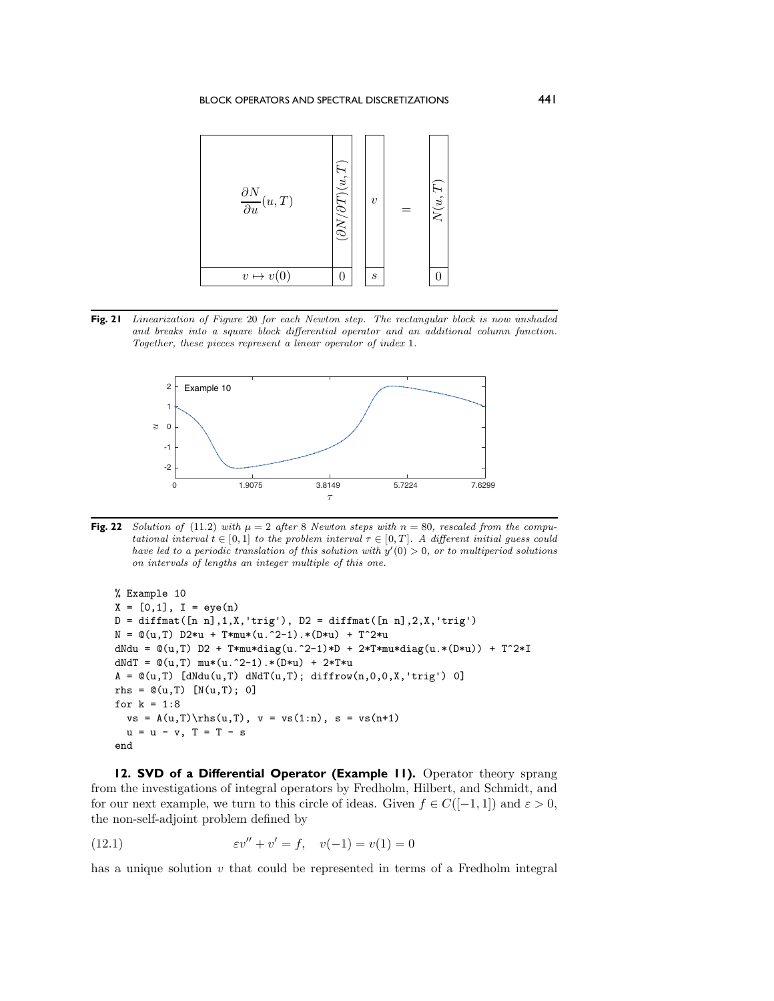<span id="page-18-0"></span>

<span id="page-18-1"></span>**Fig. 21** Linearization of Figure [20](#page-17-1) for each Newton step. The rectangular block is now unshaded and breaks into a square block differential operator and an additional column function. Together, these pieces represent a linear operator of index 1.



**Fig. 22** Solution of [\(11](#page-17-0).2) with  $\mu = 2$  after 8 Newton steps with  $n = 80$ , rescaled from the computational interval  $t \in [0,1]$  to the problem interval  $\tau \in [0,T]$ . A different initial guess could have led to a periodic translation of this solution with  $y'(0) > 0$ , or to multiperiod solutions on intervals of lengths an integer multiple of this one.

```
% Example 10
X = [0,1], I = eye(n)D = diffmat([n n],1,X,'trig'), D2 = diffmat([n n],2,X,'trig')N = \mathbb{Q}(u, T) D2*u + T*mu*(u.^2-1).*(D*u) + T^2*u
dNdu = \mathcal{O}(u,T) D2 + T*mu*diag(u.^2-1)*D + 2*T*mu*diag(u.*(D*u)) + T^2*I
dNdT = \mathcal{Q}(u, T) mu*(u.^2-1).*(D*u) + 2*T*u
A = \mathbb{O}(u,T) [dNdu(u,T) dNdT(u,T); diffrow(n,0,0,X,'trig') 0]
rhs = \mathbb{O}(u, T) [N(u,T); 0]
for k = 1:8vs = A(u,T)\rhspace{1mm} (u,T), v = vs(1:n), s = vs(n+1)u = u - v, T = T - send
```
**12. SVD of a Differential Operator (Example 11).** Operator theory sprang from the investigations of integral operators by Fredholm, Hilbert, and Schmidt, and for our next example, we turn to this circle of ideas. Given  $f \in C([-1,1])$  and  $\varepsilon > 0$ , the non-self-adjoint problem defined by

(12.1) 
$$
\varepsilon v'' + v' = f, \quad v(-1) = v(1) = 0
$$

has a unique solution  $v$  that could be represented in terms of a Fredholm integral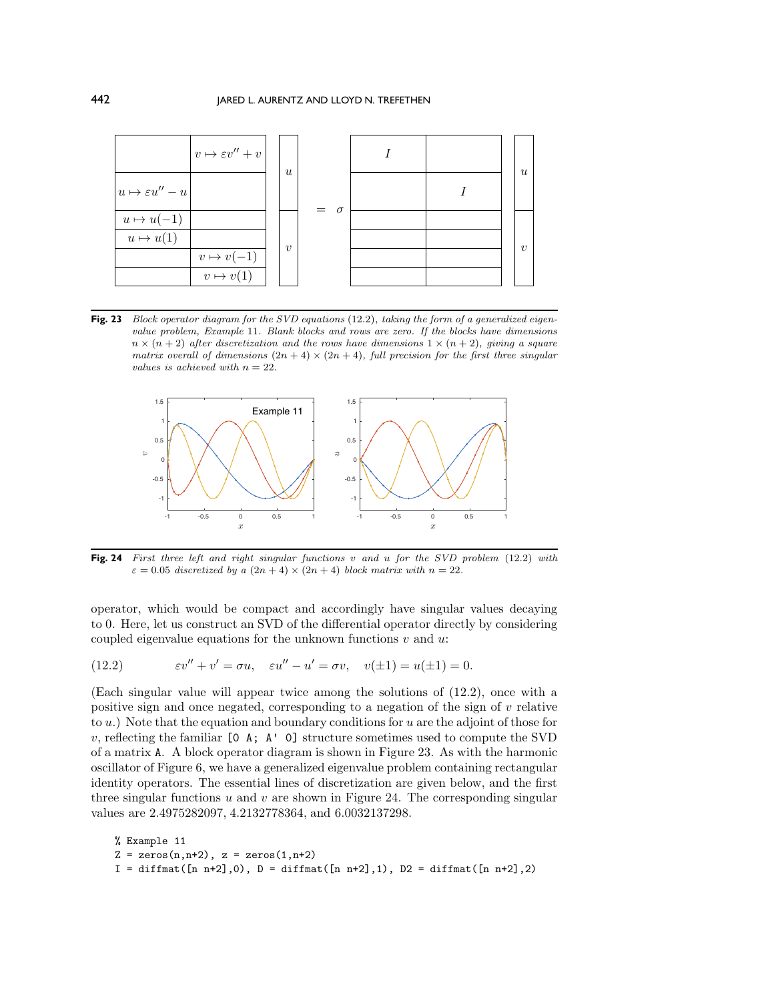<span id="page-19-1"></span>

**Fig. 23** Block operator diagram for the SVD equations [\(12](#page-19-0).2), taking the form of a generalized eigenvalue problem, Example 11. Blank blocks and rows are zero. If the blocks have dimensions  $n \times (n+2)$  after discretization and the rows have dimensions  $1 \times (n+2)$ , giving a square matrix overall of dimensions  $(2n + 4) \times (2n + 4)$ , full precision for the first three singular values is achieved with  $n = 22$ .

<span id="page-19-2"></span>

**Fig. 24** First three left and right singular functions v and u for the SVD problem [\(12](#page-19-0).2) with  $\varepsilon = 0.05$  discretized by a  $(2n + 4) \times (2n + 4)$  block matrix with  $n = 22$ .

operator, which would be compact and accordingly have singular values decaying to 0. Here, let us construct an SVD of the differential operator directly by considering coupled eigenvalue equations for the unknown functions  $v$  and  $u$ .

<span id="page-19-0"></span>(12.2) 
$$
\varepsilon v'' + v' = \sigma u, \quad \varepsilon u'' - u' = \sigma v, \quad v(\pm 1) = u(\pm 1) = 0.
$$

(Each singular value will appear twice among the solutions of [\(12.2\)](#page-19-0), once with a positive sign and once negated, corresponding to a negation of the sign of v relative to  $u$ .) Note that the equation and boundary conditions for  $u$  are the adjoint of those for v, reflecting the familiar  $[0 \t{A}; \t{A}']$  o] structure sometimes used to compute the SVD of a matrix A. A block operator diagram is shown in Figure [23.](#page-19-1) As with the harmonic oscillator of Figure [6,](#page-8-1) we have a generalized eigenvalue problem containing rectangular identity operators. The essential lines of discretization are given below, and the first three singular functions  $u$  and  $v$  are shown in Figure [24.](#page-19-2) The corresponding singular values are 2.4975282097, 4.2132778364, and 6.0032137298.

```
% Example 11
Z = zeros(n, n+2), z = zeros(1, n+2)I = diffmat([n n+2], 0), D = diffmat([n n+2], 1), D2 = diffmat([n n+2], 2)
```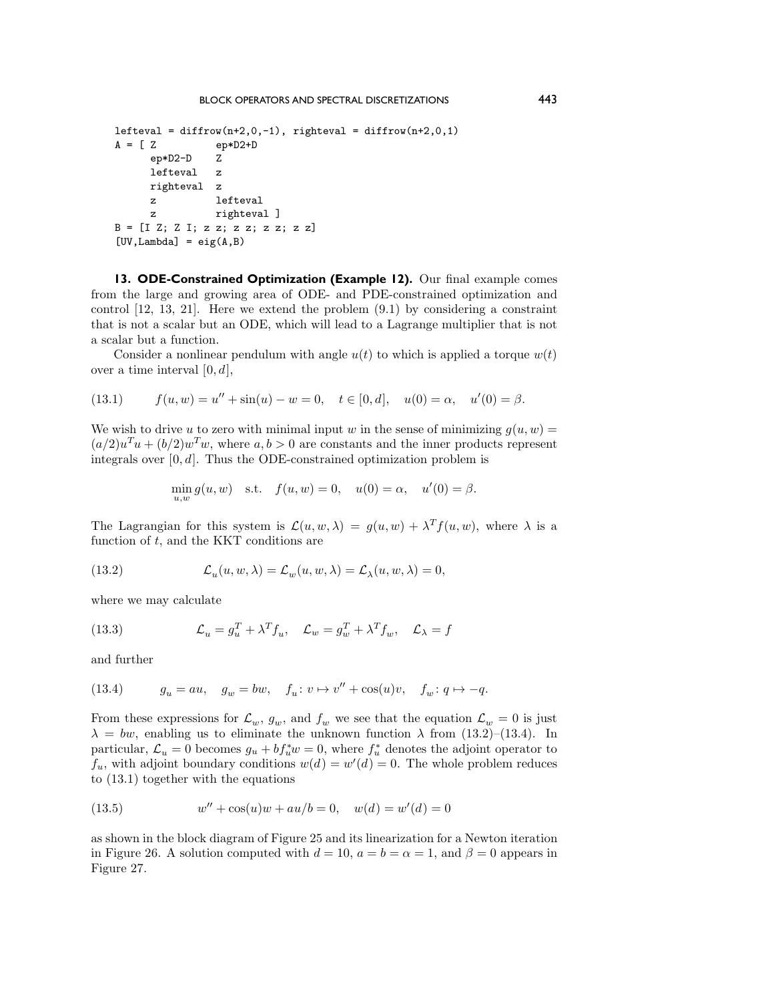```
lefteval = diffrow(n+2,0,-1), righteval = diffrow(n+2,0,1)<br>A = [ Z ep*D2+D
                ep*D2+Dep*D2-D Z
      lefteval z
      righteval z
      z lefteval
     z righteval ]
B = [I Z; Z I; z z; z z; z z; z z]
[UV, Lambda] = eig(A, B)
```
**13. ODE-Constrained Optimization (Example 12).** Our final example comes from the large and growing area of ODE- and PDE-constrained optimization and control [\[12,](#page-22-11) [13,](#page-22-12) [21\]](#page-23-11). Here we extend the problem [\(9.1\)](#page-12-4) by considering a constraint that is not a scalar but an ODE, which will lead to a Lagrange multiplier that is not a scalar but a function.

Consider a nonlinear pendulum with angle  $u(t)$  to which is applied a torque  $w(t)$ over a time interval  $[0, d]$ ,

<span id="page-20-2"></span>(13.1) 
$$
f(u, w) = u'' + \sin(u) - w = 0, \quad t \in [0, d], \quad u(0) = \alpha, \quad u'(0) = \beta.
$$

We wish to drive u to zero with minimal input w in the sense of minimizing  $g(u, w) =$  $(a/2)u<sup>T</sup>u + (b/2)w<sup>T</sup>w$ , where  $a, b > 0$  are constants and the inner products represent integrals over  $[0, d]$ . Thus the ODE-constrained optimization problem is

<span id="page-20-0"></span> $\min_{u,w} g(u, w)$  s.t.  $f(u, w) = 0$ ,  $u(0) = \alpha$ ,  $u'(0) = \beta$ .

The Lagrangian for this system is  $\mathcal{L}(u, w, \lambda) = g(u, w) + \lambda^T f(u, w)$ , where  $\lambda$  is a function of  $t$ , and the KKT conditions are

(13.2) 
$$
\mathcal{L}_u(u, w, \lambda) = \mathcal{L}_w(u, w, \lambda) = \mathcal{L}_\lambda(u, w, \lambda) = 0,
$$

where we may calculate

(13.3) 
$$
\mathcal{L}_u = g_u^T + \lambda^T f_u, \quad \mathcal{L}_w = g_w^T + \lambda^T f_w, \quad \mathcal{L}_\lambda = f
$$

and further

<span id="page-20-1"></span>(13.4) 
$$
g_u = au, \quad g_w = bw, \quad f_u \colon v \mapsto v'' + \cos(u)v, \quad f_w \colon q \mapsto -q.
$$

From these expressions for  $\mathcal{L}_w$ ,  $g_w$ , and  $f_w$  we see that the equation  $\mathcal{L}_w = 0$  is just  $\lambda = bw$ , enabling us to eliminate the unknown function  $\lambda$  from [\(13.2\)](#page-20-0)–[\(13.4\)](#page-20-1). In particular,  $\mathcal{L}_u = 0$  becomes  $g_u + bf_u^*w = 0$ , where  $f_u^*$  denotes the adjoint operator to  $f_u$ , with adjoint boundary conditions  $w(d) = w'(d) = 0$ . The whole problem reduces to [\(13.1\)](#page-20-2) together with the equations

<span id="page-20-3"></span>(13.5) 
$$
w'' + \cos(u)w + au/b = 0, \quad w(d) = w'(d) = 0
$$

as shown in the block diagram of Figure [25](#page-21-0) and its linearization for a Newton iteration in Figure [26.](#page-21-1) A solution computed with  $d = 10$ ,  $a = b = \alpha = 1$ , and  $\beta = 0$  appears in Figure [27.](#page-21-2)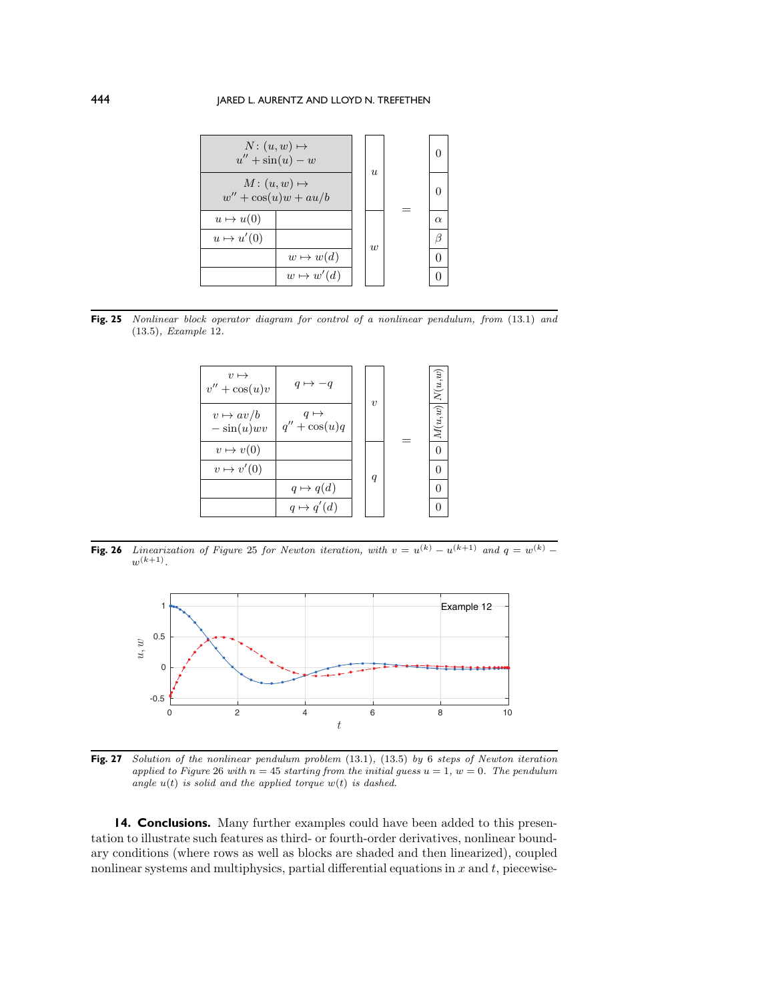## <span id="page-21-0"></span>444 IARED L. AURENTZ AND LLOYD N. TREFETHEN



<span id="page-21-1"></span>**Fig. 25** Nonlinear block operator diagram for control of a nonlinear pendulum, from [\(13](#page-20-2).1) and [\(13](#page-20-3).5), Example 12.



**Fig. 26** Linearization of Figure [25](#page-21-0) for Newton iteration, with  $v = u^{(k)} - u^{(k+1)}$  and  $q = w^{(k)}$  $w^{(k+1)}$ .

<span id="page-21-2"></span>

**Fig. 27** Solution of the nonlinear pendulum problem [\(13](#page-20-2).1), [\(13](#page-20-3).5) by 6 steps of Newton iteration applied to Figure [26](#page-21-1) with  $n = 45$  starting from the initial guess  $u = 1$ ,  $w = 0$ . The pendulum angle  $u(t)$  is solid and the applied torque  $w(t)$  is dashed.

**14. Conclusions.** Many further examples could have been added to this presentation to illustrate such features as third- or fourth-order derivatives, nonlinear boundary conditions (where rows as well as blocks are shaded and then linearized), coupled nonlinear systems and multiphysics, partial differential equations in  $x$  and  $t$ , piecewise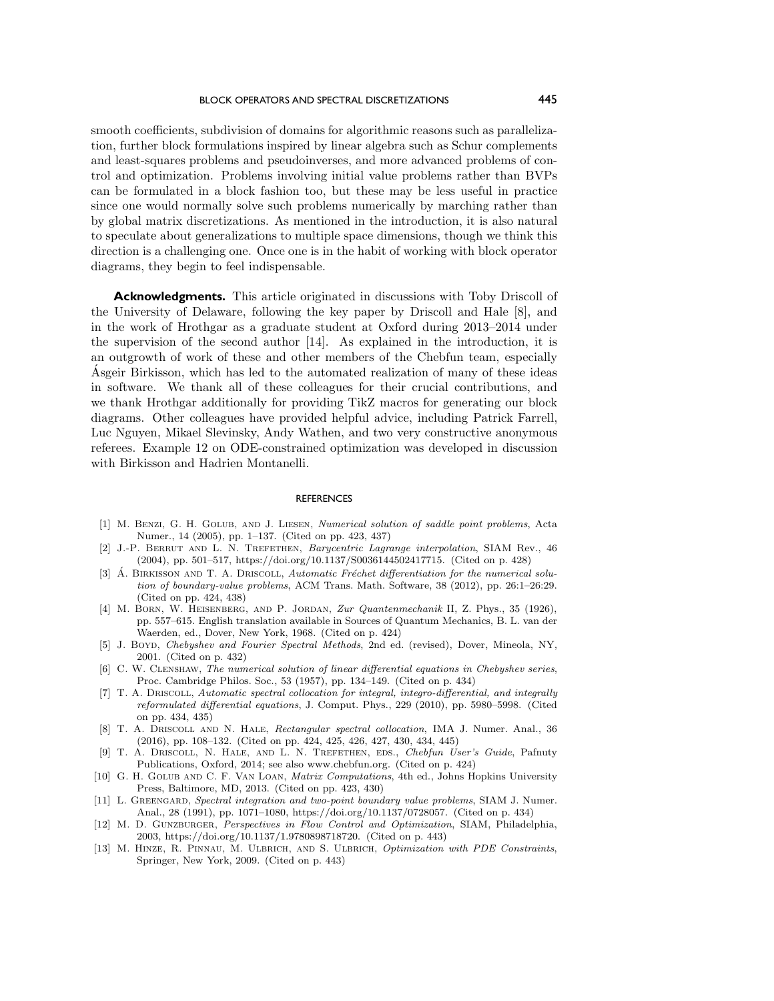smooth coefficients, subdivision of domains for algorithmic reasons such as parallelization, further block formulations inspired by linear algebra such as Schur complements and least-squares problems and pseudoinverses, and more advanced problems of control and optimization. Problems involving initial value problems rather than BVPs can be formulated in a block fashion too, but these may be less useful in practice since one would normally solve such problems numerically by marching rather than by global matrix discretizations. As mentioned in the introduction, it is also natural to speculate about generalizations to multiple space dimensions, though we think this direction is a challenging one. Once one is in the habit of working with block operator diagrams, they begin to feel indispensable.

**Acknowledgments.** This article originated in discussions with Toby Driscoll of the University of Delaware, following the key paper by Driscoll and Hale [\[8\]](#page-22-4), and in the work of Hrothgar as a graduate student at Oxford during 2013–2014 under the supervision of the second author [\[14\]](#page-23-1). As explained in the introduction, it is an outgrowth of work of these and other members of the Chebfun team, especially Asgeir Birkisson, which has led to the automated realization of many of these ideas ´ in software. We thank all of these colleagues for their crucial contributions, and we thank Hrothgar additionally for providing TikZ macros for generating our block diagrams. Other colleagues have provided helpful advice, including Patrick Farrell, Luc Nguyen, Mikael Slevinsky, Andy Wathen, and two very constructive anonymous referees. Example 12 on ODE-constrained optimization was developed in discussion with Birkisson and Hadrien Montanelli.

## **REFERENCES**

- <span id="page-22-0"></span>[1] M. Benzi, G. H. Golub, and J. Liesen, Numerical solution of saddle point problems, Acta Numer., 14 (2005), pp. 1–137. (Cited on pp. 423, 437)
- <span id="page-22-6"></span>[2] J.-P. BERRUT AND L. N. TREFETHEN, Barycentric Lagrange interpolation, SIAM Rev., 46 (2004), pp. 501–517, [https://doi.org/10.1137/S0036144502417715.](https://doi.org/10.1137/S0036144502417715) (Cited on p. 428)
- <span id="page-22-3"></span>[3] A. BIRKISSON AND T. A. DRISCOLL, Automatic Fréchet differentiation for the numerical solution of boundary-value problems, ACM Trans. Math. Software, 38 (2012), pp. 26:1–26:29. (Cited on pp. 424, 438)
- <span id="page-22-2"></span>[4] M. Born, W. Heisenberg, and P. Jordan, Zur Quantenmechanik II, Z. Phys., 35 (1926), pp. 557–615. English translation available in Sources of Quantum Mechanics, B. L. van der Waerden, ed., Dover, New York, 1968. (Cited on p. 424)
- <span id="page-22-7"></span>[5] J. Boyd, Chebyshev and Fourier Spectral Methods, 2nd ed. (revised), Dover, Mineola, NY, 2001. (Cited on p. 432)
- <span id="page-22-8"></span>[6] C. W. CLENSHAW, The numerical solution of linear differential equations in Chebyshev series, Proc. Cambridge Philos. Soc., 53 (1957), pp. 134–149. (Cited on p. 434)
- <span id="page-22-9"></span>[7] T. A. DRISCOLL, Automatic spectral collocation for integral, integro-differential, and integrally reformulated differential equations, J. Comput. Phys., 229 (2010), pp. 5980–5998. (Cited on pp. 434, 435)
- <span id="page-22-4"></span>[8] T. A. Driscoll and N. Hale, Rectangular spectral collocation, IMA J. Numer. Anal., 36 (2016), pp. 108–132. (Cited on pp. 424, 425, 426, 427, 430, 434, 445)
- <span id="page-22-5"></span>[9] T. A. DRISCOLL, N. HALE, AND L. N. TREFETHEN, EDS., Chebfun User's Guide, Pafnuty Publications, Oxford, 2014; see also [www.chebfun.org.](www.chebfun.org) (Cited on p. 424)
- <span id="page-22-1"></span>[10] G. H. GOLUB AND C. F. VAN LOAN, *Matrix Computations*, 4th ed., Johns Hopkins University Press, Baltimore, MD, 2013. (Cited on pp. 423, 430)
- <span id="page-22-10"></span>[11] L. GREENGARD, Spectral integration and two-point boundary value problems, SIAM J. Numer. Anal., 28 (1991), pp. 1071–1080, [https://doi.org/10.1137/0728057.](https://doi.org/10.1137/0728057) (Cited on p. 434)
- <span id="page-22-11"></span>[12] M. D. GUNZBURGER, Perspectives in Flow Control and Optimization, SIAM, Philadelphia, 2003, [https://doi.org/10.1137/1.9780898718720.](https://doi.org/10.1137/1.9780898718720) (Cited on p. 443)
- <span id="page-22-12"></span>[13] M. HINZE, R. PINNAU, M. ULBRICH, AND S. ULBRICH, Optimization with PDE Constraints, Springer, New York, 2009. (Cited on p. 443)